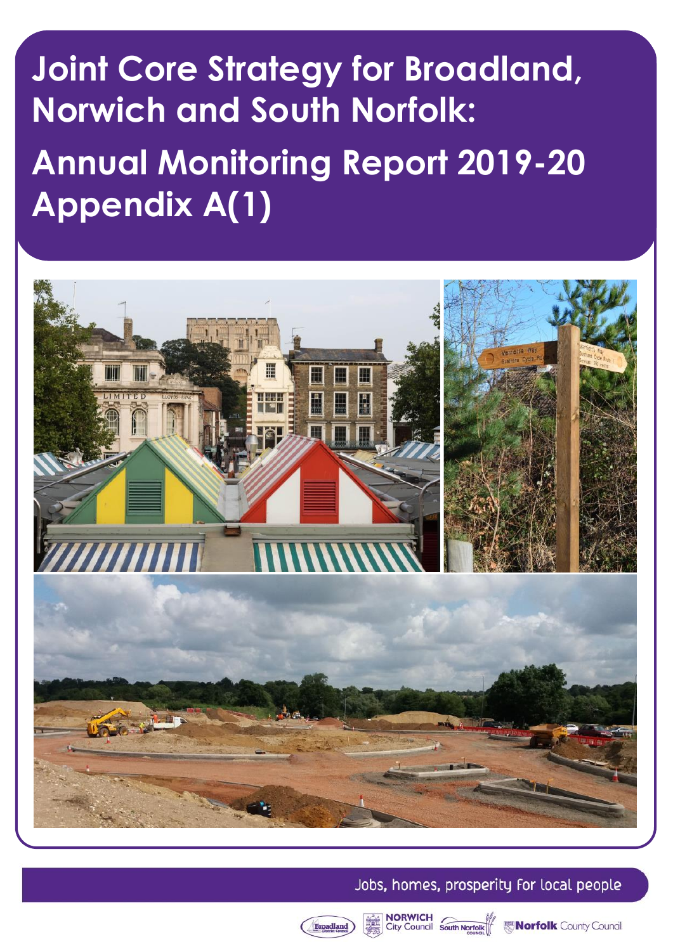# **Joint Core Strategy for Broadland, Norwich and South Norfolk: Annual Monitoring Report 2019-20 Appendix A(1)**



# Jobs, homes, prosperity for local people



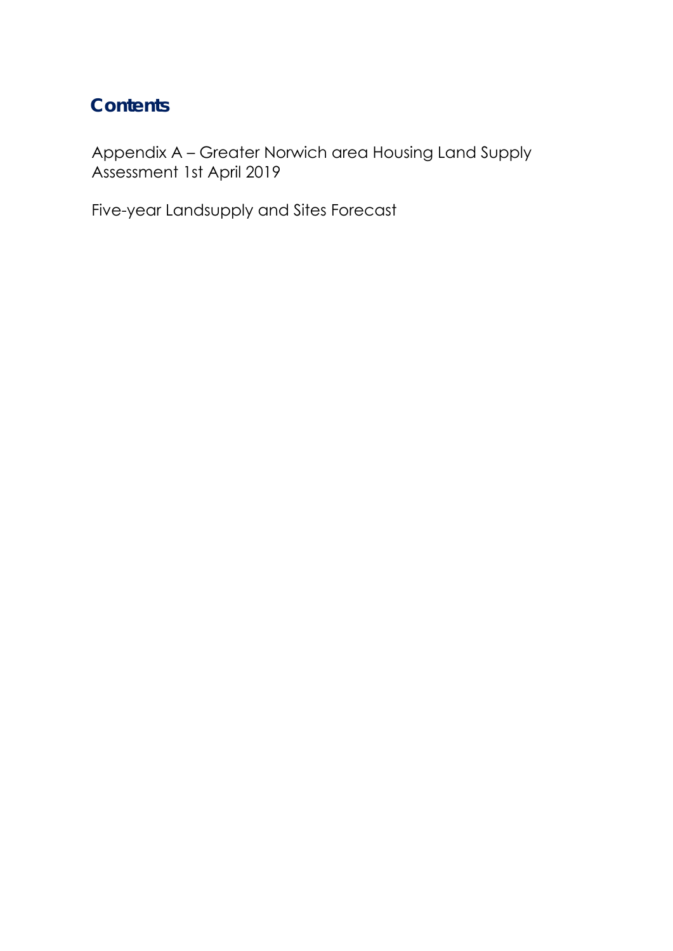# **Contents**

[Appendix A – Greater Norwich area Housing Land Supply](#page-2-0) Assessment 1st April 2019

Five-year Landsupply and Sites Forecast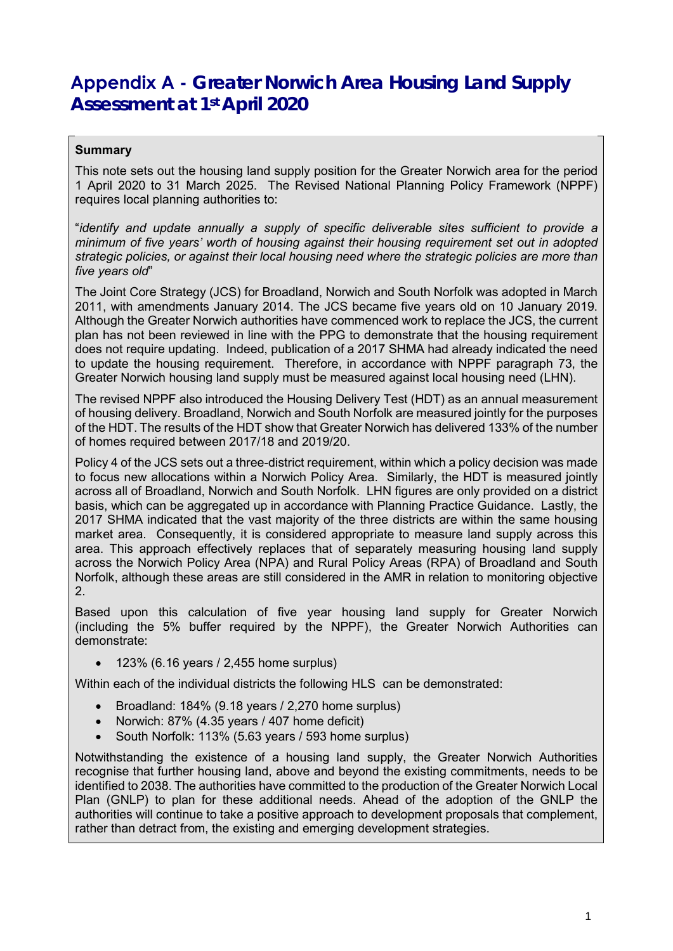# <span id="page-2-0"></span>**Appendix A - Greater Norwich Area Housing Land Supply Assessment at 1st April 2020**

## **Summary**

 This note sets out the housing land supply position for the Greater Norwich area for the period 1 April 2020 to 31 March 2025. The Revised National Planning Policy Framework (NPPF) requires local planning authorities to:

 "*identify and update annually a supply of specific deliverable sites sufficient to provide a minimum of five years' worth of housing against their housing requirement set out in adopted strategic policies, or against their local housing need where the strategic policies are more than five years old*"

 2011, with amendments January 2014. The JCS became five years old on 10 January 2019. does not require updating. Indeed, publication of a 2017 SHMA had already indicated the need to update the housing requirement. Therefore, in accordance with NPPF paragraph 73, the The Joint Core Strategy (JCS) for Broadland, Norwich and South Norfolk was adopted in March Although the Greater Norwich authorities have commenced work to replace the JCS, the current plan has not been reviewed in line with the PPG to demonstrate that the housing requirement Greater Norwich housing land supply must be measured against local housing need (LHN).

 of the HDT. The results of the HDT show that Greater Norwich has delivered 133% of the number The revised NPPF also introduced the Housing Delivery Test (HDT) as an annual measurement of housing delivery. Broadland, Norwich and South Norfolk are measured jointly for the purposes of homes required between 2017/18 and 2019/20.

 to focus new allocations within a Norwich Policy Area. Similarly, the HDT is measured jointly across all of Broadland, Norwich and South Norfolk. LHN figures are only provided on a district 2017 SHMA indicated that the vast majority of the three districts are within the same housing market area. Consequently, it is considered appropriate to measure land supply across this Norfolk, although these areas are still considered in the AMR in relation to monitoring objective Policy 4 of the JCS sets out a three-district requirement, within which a policy decision was made basis, which can be aggregated up in accordance with Planning Practice Guidance. Lastly, the area. This approach effectively replaces that of separately measuring housing land supply across the Norwich Policy Area (NPA) and Rural Policy Areas (RPA) of Broadland and South 2.

Based upon this calculation of five year housing land supply for Greater Norwich (including the 5% buffer required by the NPPF), the Greater Norwich Authorities can demonstrate:

• 123% (6.16 years / 2,455 home surplus)

Within each of the individual districts the following HLS can be demonstrated:

- Broadland: 184% (9.18 years / 2,270 home surplus)
- Norwich: 87% (4.35 years / 407 home deficit)
- South Norfolk: 113% (5.63 years / 593 home surplus)

 recognise that further housing land, above and beyond the existing commitments, needs to be Plan (GNLP) to plan for these additional needs. Ahead of the adoption of the GNLP the Notwithstanding the existence of a housing land supply, the Greater Norwich Authorities identified to 2038. The authorities have committed to the production of the Greater Norwich Local authorities will continue to take a positive approach to development proposals that complement, rather than detract from, the existing and emerging development strategies.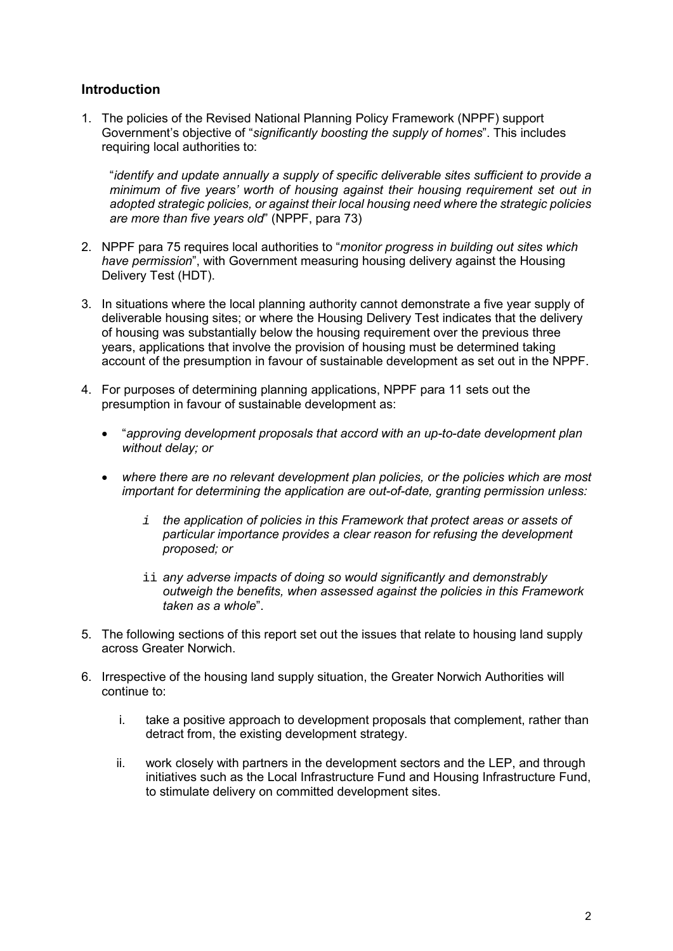## **Introduction**

1. The policies of the Revised National Planning Policy Framework (NPPF) support Government's objective of "*significantly boosting the supply of homes*". This includes requiring local authorities to:

 *minimum of five years' worth of housing against their housing requirement set out in*  "*identify and update annually a supply of specific deliverable sites sufficient to provide a adopted strategic policies, or against their local housing need where the strategic policies are more than five years old*" (NPPF, para 73)

- 2. NPPF para 75 requires local authorities to "*monitor progress in building out sites which have permission*", with Government measuring housing delivery against the Housing Delivery Test (HDT).
- 3. In situations where the local planning authority cannot demonstrate a five year supply of deliverable housing sites; or where the Housing Delivery Test indicates that the delivery of housing was substantially below the housing requirement over the previous three years, applications that involve the provision of housing must be determined taking account of the presumption in favour of sustainable development as set out in the NPPF.
- 4. For purposes of determining planning applications, NPPF para 11 sets out the presumption in favour of sustainable development as:
	- "*approving development proposals that accord with an up-to-date development plan without delay; or*
	- *where there are no relevant development plan policies, or the policies which are most important for determining the application are out-of-date, granting permission unless:*
		- *i the application of policies in this Framework that protect areas or assets of particular importance provides a clear reason for refusing the development proposed; or*
		- ii *any adverse impacts of doing so would significantly and demonstrably outweigh the benefits, when assessed against the policies in this Framework taken as a whole*".
- 5. The following sections of this report set out the issues that relate to housing land supply across Greater Norwich.
- 6. Irrespective of the housing land supply situation, the Greater Norwich Authorities will continue to:
	- i. take a positive approach to development proposals that complement, rather than detract from, the existing development strategy.
	- ii. work closely with partners in the development sectors and the LEP, and through initiatives such as the Local Infrastructure Fund and Housing Infrastructure Fund, to stimulate delivery on committed development sites.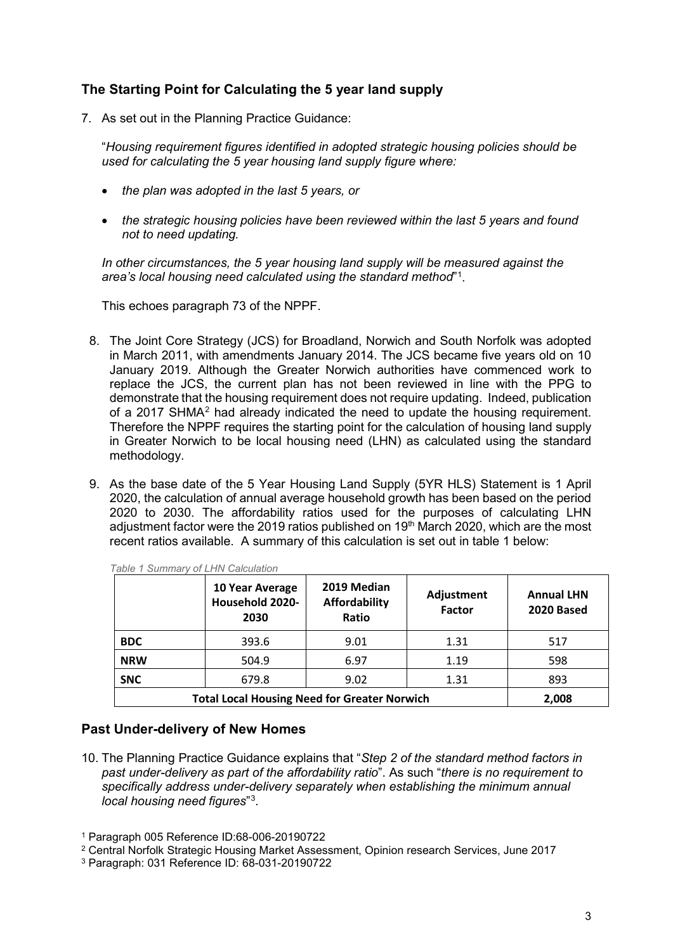## **The Starting Point for Calculating the 5 year land supply**

7. As set out in the Planning Practice Guidance:

"*Housing requirement figures identified in adopted strategic housing policies should be used for calculating the 5 year housing land supply figure where:*

- *the plan was adopted in the last 5 years, or*
- *the strategic housing policies have been reviewed within the last 5 years and found not to need updating.*

 *In other circumstances, the 5 year housing land supply will be measured against the area's local housing need calculated using the standard method*"[1](#page-4-0) .

This echoes paragraph 73 of the NPPF.

- 8. The Joint Core Strategy (JCS) for Broadland, Norwich and South Norfolk was adopted demonstrate that the housing requirement does not require updating. Indeed, publication of a [2](#page-4-1)017 SHMA<sup>2</sup> had already indicated the need to update the housing requirement. in March 2011, with amendments January 2014. The JCS became five years old on 10 January 2019. Although the Greater Norwich authorities have commenced work to replace the JCS, the current plan has not been reviewed in line with the PPG to Therefore the NPPF requires the starting point for the calculation of housing land supply in Greater Norwich to be local housing need (LHN) as calculated using the standard methodology.
- 9. As the base date of the 5 Year Housing Land Supply (5YR HLS) Statement is 1 April 2020 to 2030. The affordability ratios used for the purposes of calculating LHN 2020, the calculation of annual average household growth has been based on the period adjustment factor were the 2019 ratios published on  $19<sup>th</sup>$  March 2020, which are the most recent ratios available. A summary of this calculation is set out in table 1 below:

|                                                     | 10 Year Average<br><b>Household 2020-</b><br>2030 | 2019 Median<br>Affordability<br>Ratio | Adjustment<br><b>Factor</b> | <b>Annual LHN</b><br>2020 Based |
|-----------------------------------------------------|---------------------------------------------------|---------------------------------------|-----------------------------|---------------------------------|
| <b>BDC</b>                                          | 393.6                                             | 9.01                                  | 1.31                        | 517                             |
| <b>NRW</b>                                          | 504.9                                             | 6.97                                  | 1.19                        | 598                             |
| <b>SNC</b>                                          | 679.8                                             | 9.02                                  | 1.31                        | 893                             |
| <b>Total Local Housing Need for Greater Norwich</b> | 2,008                                             |                                       |                             |                                 |

*Table 1 Summary of LHN Calculation*

#### **Past Under-delivery of New Homes**

10. The Planning Practice Guidance explains that "*Step 2 of the standard method factors in past under-delivery as part of the affordability ratio*". As such "*there is no requirement to specifically address under-delivery separately when establishing the minimum annual local housing need figures*"[3](#page-4-2) .

- <span id="page-4-1"></span>2 Central Norfolk Strategic Housing Market Assessment, Opinion research Services, June 2017
- <span id="page-4-2"></span>3 Paragraph: 031 Reference ID: 68-031-20190722

<span id="page-4-0"></span><sup>1</sup> Paragraph 005 Reference ID:68-006-20190722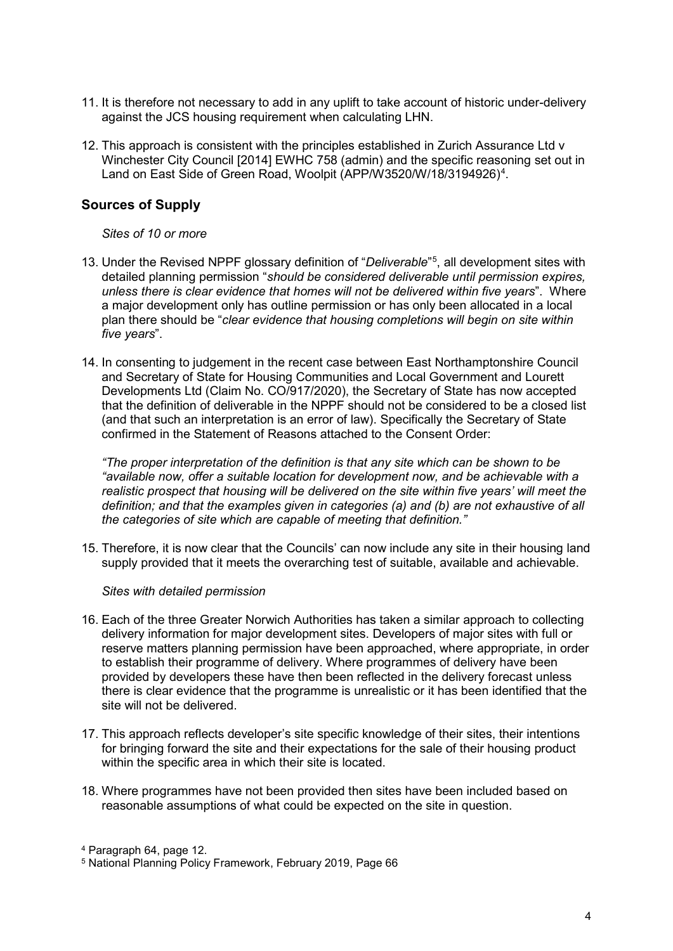- 11. It is therefore not necessary to add in any uplift to take account of historic under-delivery against the JCS housing requirement when calculating LHN.
- Land on East Side of Green Road, Woolpit (APP/W3520/W/18/319[4](#page-5-0)926)<sup>4</sup>. 12. This approach is consistent with the principles established in Zurich Assurance Ltd v Winchester City Council [2014] EWHC 758 (admin) and the specific reasoning set out in

## **Sources of Supply**

#### *Sites of 10 or more*

- *unless there is clear evidence that homes will not be delivered within five years*". Where 13. Under the Revised NPPF glossary definition of "*Deliverable*"[5](#page-5-1) , all development sites with detailed planning permission "*should be considered deliverable until permission expires,* a major development only has outline permission or has only been allocated in a local plan there should be "*clear evidence that housing completions will begin on site within five years*".
- and Secretary of State for Housing Communities and Local Government and Lourett 14. In consenting to judgement in the recent case between East Northamptonshire Council Developments Ltd (Claim No. CO/917/2020), the Secretary of State has now accepted that the definition of deliverable in the NPPF should not be considered to be a closed list (and that such an interpretation is an error of law). Specifically the Secretary of State confirmed in the Statement of Reasons attached to the Consent Order:

*"The proper interpretation of the definition is that any site which can be shown to be "available now, offer a suitable location for development now, and be achievable with a realistic prospect that housing will be delivered on the site within five years' will meet the definition; and that the examples given in categories (a) and (b) are not exhaustive of all the categories of site which are capable of meeting that definition."*

15. Therefore, it is now clear that the Councils' can now include any site in their housing land supply provided that it meets the overarching test of suitable, available and achievable.

#### *Sites with detailed permission*

- provided by developers these have then been reflected in the delivery forecast unless 16. Each of the three Greater Norwich Authorities has taken a similar approach to collecting delivery information for major development sites. Developers of major sites with full or reserve matters planning permission have been approached, where appropriate, in order to establish their programme of delivery. Where programmes of delivery have been there is clear evidence that the programme is unrealistic or it has been identified that the site will not be delivered.
- for bringing forward the site and their expectations for the sale of their housing product 17. This approach reflects developer's site specific knowledge of their sites, their intentions within the specific area in which their site is located.
- 18. Where programmes have not been provided then sites have been included based on reasonable assumptions of what could be expected on the site in question.

<span id="page-5-0"></span><sup>4</sup> Paragraph 64, page 12.

<span id="page-5-1"></span><sup>5</sup> National Planning Policy Framework, February 2019, Page 66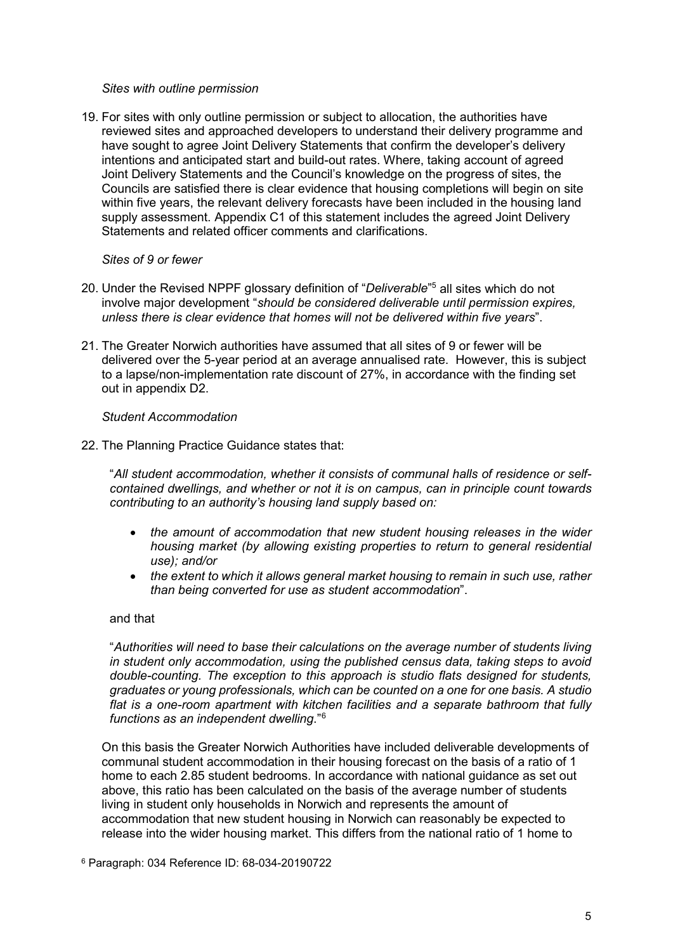#### *Sites with outline permission*

 intentions and anticipated start and build-out rates. Where, taking account of agreed Councils are satisfied there is clear evidence that housing completions will begin on site 19. For sites with only outline permission or subject to allocation, the authorities have reviewed sites and approached developers to understand their delivery programme and have sought to agree Joint Delivery Statements that confirm the developer's delivery Joint Delivery Statements and the Council's knowledge on the progress of sites, the within five years, the relevant delivery forecasts have been included in the housing land supply assessment. Appendix C1 of this statement includes the agreed Joint Delivery Statements and related officer comments and clarifications.

#### *Sites of 9 or fewer*

- *unless there is clear evidence that homes will not be delivered within five years*". 20. Under the Revised NPPF glossary definition of "*Deliverable*" 5 all sites which do not involve major development "*should be considered deliverable until permission expires,*
- 21. The Greater Norwich authorities have assumed that all sites of 9 or fewer will be delivered over the 5-year period at an average annualised rate. However, this is subject to a lapse/non-implementation rate discount of 27%, in accordance with the finding set out in appendix D2.

#### *Student Accommodation*

22. The Planning Practice Guidance states that:

 "*All student accommodation, whether it consists of communal halls of residence or self- contained dwellings, and whether or not it is on campus, can in principle count towards contributing to an authority's housing land supply based on:* 

- **•** the amount of accommodation that new student housing releases in the wider  *housing market (by allowing existing properties to return to general residential use); and/or*
- *than being converted for use as student accommodation*". • *the extent to which it allows general market housing to remain in such use, rather*

#### and that

 *double-counting. The exception to this approach is studio flats designed for students, flat is a one-room apartment with kitchen facilities and a separate bathroom that fully functions as an independent dwelling*."[6](#page-6-0)  "*Authorities will need to base their calculations on the average number of students living in student only accommodation, using the published census data, taking steps to avoid graduates or young professionals, which can be counted on a one for one basis. A studio* 

 On this basis the Greater Norwich Authorities have included deliverable developments of home to each 2.85 student bedrooms. In accordance with national guidance as set out above, this ratio has been calculated on the basis of the average number of students release into the wider housing market. This differs from the national ratio of 1 home to communal student accommodation in their housing forecast on the basis of a ratio of 1 living in student only households in Norwich and represents the amount of accommodation that new student housing in Norwich can reasonably be expected to

<span id="page-6-0"></span>6 Paragraph: 034 Reference ID: 68-034-20190722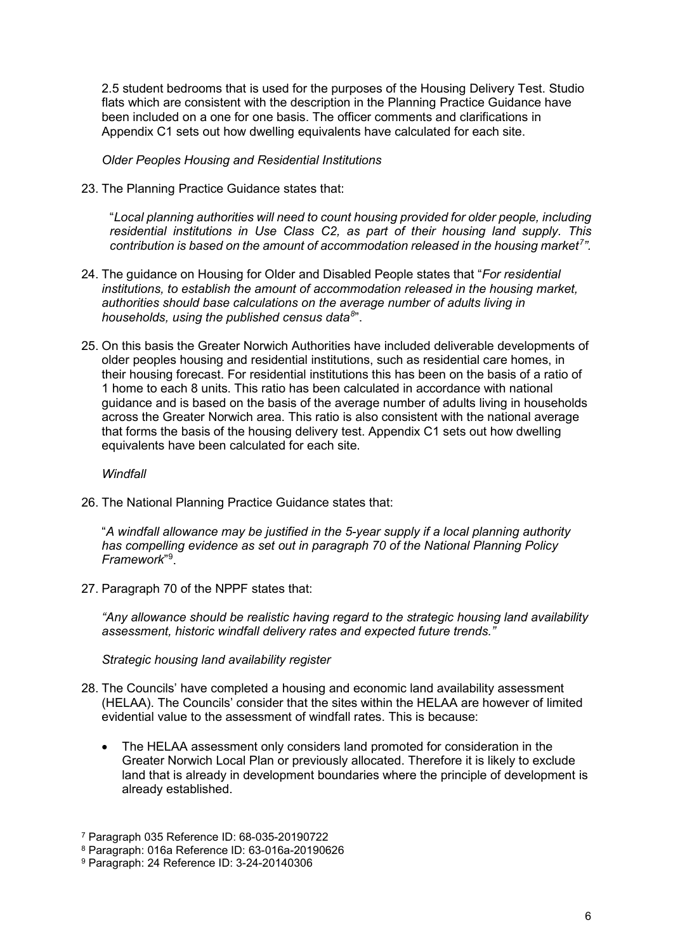Appendix C1 sets out how dwelling equivalents have calculated for each site. 2.5 student bedrooms that is used for the purposes of the Housing Delivery Test. Studio flats which are consistent with the description in the Planning Practice Guidance have been included on a one for one basis. The officer comments and clarifications in

 *Older Peoples Housing and Residential Institutions* 

23. The Planning Practice Guidance states that:

"*Local planning authorities will need to count housing provided for older people, including residential institutions in Use Class C2, as part of their housing land supply. This contribution is based on the amount of accommodation released in the housing market[7](#page-7-0) ".* 

- 24. The guidance on Housing for Older and Disabled People states that "*For residential institutions, to establish the amount of accommodation released in the housing market, authorities should base calculations on the average number of adults living in households, using the published [census data](https://www.ons.gov.uk/peoplepopulationandcommunity/housing/adhocs/008208ct07742011censusageofhouseholdreferencepersonhrpbynumberofadultsinhouseholdnationaltolocalauthoritylevel)[8](#page-7-1)* ".
- 25. On this basis the Greater Norwich Authorities have included deliverable developments of older peoples housing and residential institutions, such as residential care homes, in their housing forecast. For residential institutions this has been on the basis of a ratio of 1 home to each 8 units. This ratio has been calculated in accordance with national guidance and is based on the basis of the average number of adults living in households across the Greater Norwich area. This ratio is also consistent with the national average that forms the basis of the housing delivery test. Appendix C1 sets out how dwelling equivalents have been calculated for each site.

#### *Windfall*

26. The National Planning Practice Guidance states that:

"*A windfall allowance may be justified in the 5-year supply if a local planning authority has compelling evidence as set out in [paragraph 70](https://www.gov.uk/guidance/national-planning-policy-framework/5-delivering-a-sufficient-supply-of-homes#para70) of the National Planning Policy Framework*"[9](#page-7-2) .

27. Paragraph 70 of the NPPF states that:

*"Any allowance should be realistic having regard to the strategic housing land availability assessment, historic windfall delivery rates and expected future trends."*

*Strategic housing land availability register*

- (HELAA). The Councils' consider that the sites within the HELAA are however of limited evidential value to the assessment of windfall rates. This is because: 28. The Councils' have completed a housing and economic land availability assessment
	- The HELAA assessment only considers land promoted for consideration in the Greater Norwich Local Plan or previously allocated. Therefore it is likely to exclude land that is already in development boundaries where the principle of development is already established.

<span id="page-7-0"></span><sup>7</sup> Paragraph 035 Reference ID: 68-035-20190722

<span id="page-7-1"></span><sup>8</sup> Paragraph: 016a Reference ID: 63-016a-20190626

<span id="page-7-2"></span><sup>9</sup> Paragraph: 24 Reference ID: 3-24-20140306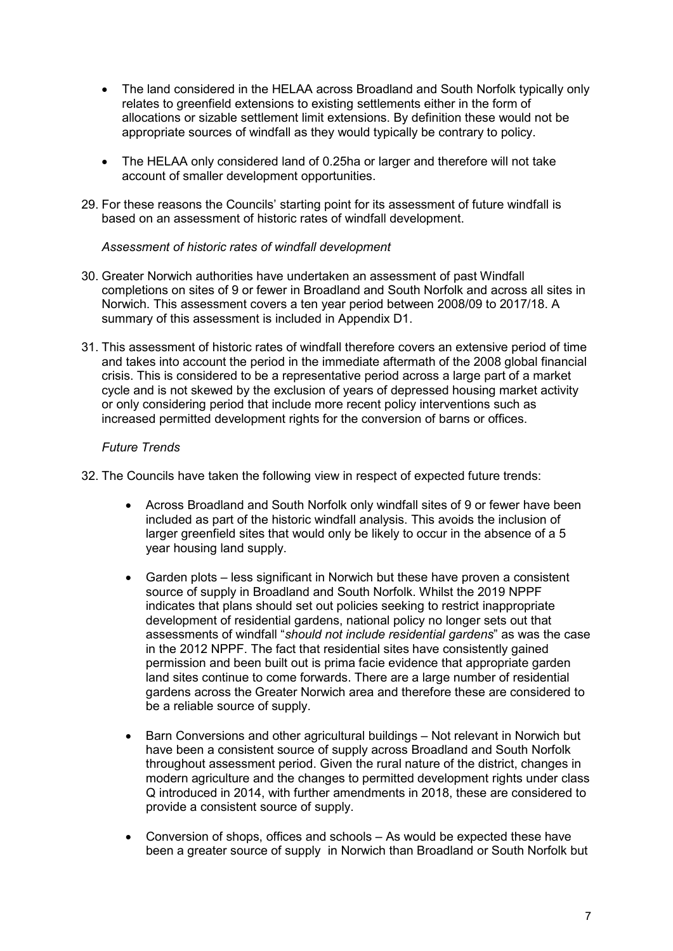- The land considered in the HELAA across Broadland and South Norfolk typically only relates to greenfield extensions to existing settlements either in the form of allocations or sizable settlement limit extensions. By definition these would not be appropriate sources of windfall as they would typically be contrary to policy.
- The HELAA only considered land of 0.25ha or larger and therefore will not take account of smaller development opportunities.
- 29. For these reasons the Councils' starting point for its assessment of future windfall is based on an assessment of historic rates of windfall development.

#### *Assessment of historic rates of windfall development*

- 30. Greater Norwich authorities have undertaken an assessment of past Windfall completions on sites of 9 or fewer in Broadland and South Norfolk and across all sites in Norwich. This assessment covers a ten year period between 2008/09 to 2017/18. A summary of this assessment is included in Appendix D1.
- and takes into account the period in the immediate aftermath of the 2008 global financial cycle and is not skewed by the exclusion of years of depressed housing market activity 31. This assessment of historic rates of windfall therefore covers an extensive period of time crisis. This is considered to be a representative period across a large part of a market or only considering period that include more recent policy interventions such as increased permitted development rights for the conversion of barns or offices.

#### *Future Trends*

32. The Councils have taken the following view in respect of expected future trends:

- larger greenfield sites that would only be likely to occur in the absence of a 5 • Across Broadland and South Norfolk only windfall sites of 9 or fewer have been included as part of the historic windfall analysis. This avoids the inclusion of year housing land supply.
- • Garden plots less significant in Norwich but these have proven a consistent source of supply in Broadland and South Norfolk. Whilst the 2019 NPPF in the 2012 NPPF. The fact that residential sites have consistently gained land sites continue to come forwards. There are a large number of residential indicates that plans should set out policies seeking to restrict inappropriate development of residential gardens, national policy no longer sets out that assessments of windfall "*should not include residential gardens*" as was the case permission and been built out is prima facie evidence that appropriate garden gardens across the Greater Norwich area and therefore these are considered to be a reliable source of supply.
- Barn Conversions and other agricultural buildings Not relevant in Norwich but have been a consistent source of supply across Broadland and South Norfolk throughout assessment period. Given the rural nature of the district, changes in modern agriculture and the changes to permitted development rights under class Q introduced in 2014, with further amendments in 2018, these are considered to provide a consistent source of supply.
- been a greater source of supply in Norwich than Broadland or South Norfolk but • Conversion of shops, offices and schools – As would be expected these have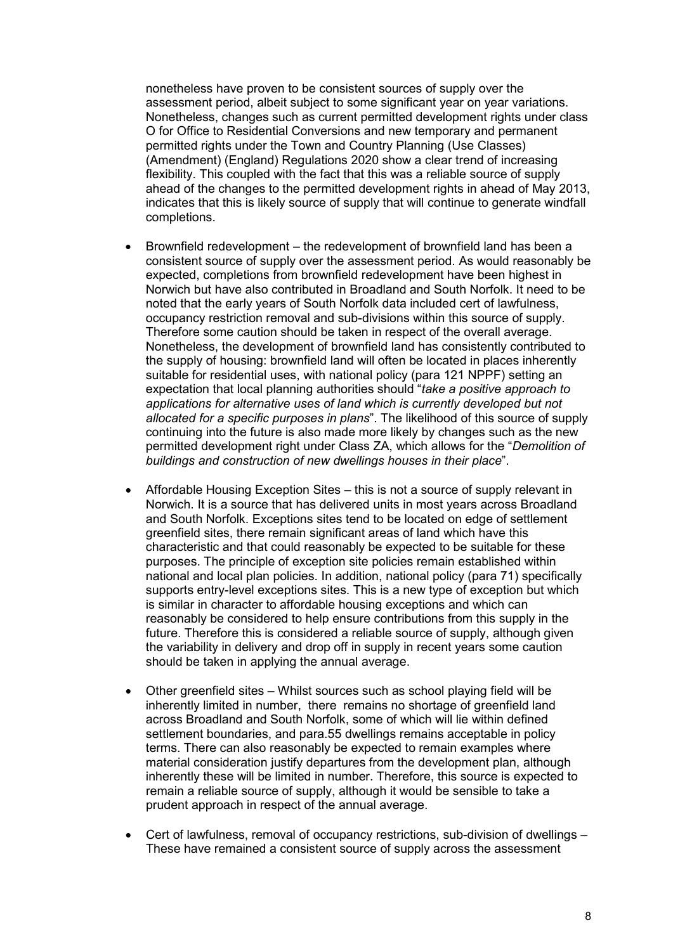Nonetheless, changes such as current permitted development rights under class (Amendment) (England) Regulations 2020 show a clear trend of increasing flexibility. This coupled with the fact that this was a reliable source of supply completions. nonetheless have proven to be consistent sources of supply over the assessment period, albeit subject to some significant year on year variations. O for Office to Residential Conversions and new temporary and permanent permitted rights under the Town and Country Planning (Use Classes) ahead of the changes to the permitted development rights in ahead of May 2013, indicates that this is likely source of supply that will continue to generate windfall

- • Brownfield redevelopment the redevelopment of brownfield land has been a continuing into the future is also made more likely by changes such as the new consistent source of supply over the assessment period. As would reasonably be expected, completions from brownfield redevelopment have been highest in Norwich but have also contributed in Broadland and South Norfolk. It need to be noted that the early years of South Norfolk data included cert of lawfulness, occupancy restriction removal and sub-divisions within this source of supply. Therefore some caution should be taken in respect of the overall average. Nonetheless, the development of brownfield land has consistently contributed to the supply of housing: brownfield land will often be located in places inherently suitable for residential uses, with national policy (para 121 NPPF) setting an expectation that local planning authorities should "*take a positive approach to applications for alternative uses of land which is currently developed but not allocated for a specific purposes in plans*". The likelihood of this source of supply permitted development right under Class ZA, which allows for the "*Demolition of buildings and construction of new dwellings houses in their place*".
- is similar in character to affordable housing exceptions and which can reasonably be considered to help ensure contributions from this supply in the • Affordable Housing Exception Sites – this is not a source of supply relevant in Norwich. It is a source that has delivered units in most years across Broadland and South Norfolk. Exceptions sites tend to be located on edge of settlement greenfield sites, there remain significant areas of land which have this characteristic and that could reasonably be expected to be suitable for these purposes. The principle of exception site policies remain established within national and local plan policies. In addition, national policy (para 71) specifically supports entry-level exceptions sites. This is a new type of exception but which future. Therefore this is considered a reliable source of supply, although given the variability in delivery and drop off in supply in recent years some caution should be taken in applying the annual average.
- inherently limited in number, there remains no shortage of greenfield land terms. There can also reasonably be expected to remain examples where material consideration justify departures from the development plan, although • Other greenfield sites – Whilst sources such as school playing field will be across Broadland and South Norfolk, some of which will lie within defined settlement boundaries, and para.55 dwellings remains acceptable in policy inherently these will be limited in number. Therefore, this source is expected to remain a reliable source of supply, although it would be sensible to take a prudent approach in respect of the annual average.
- Cert of lawfulness, removal of occupancy restrictions, sub-division of dwellings These have remained a consistent source of supply across the assessment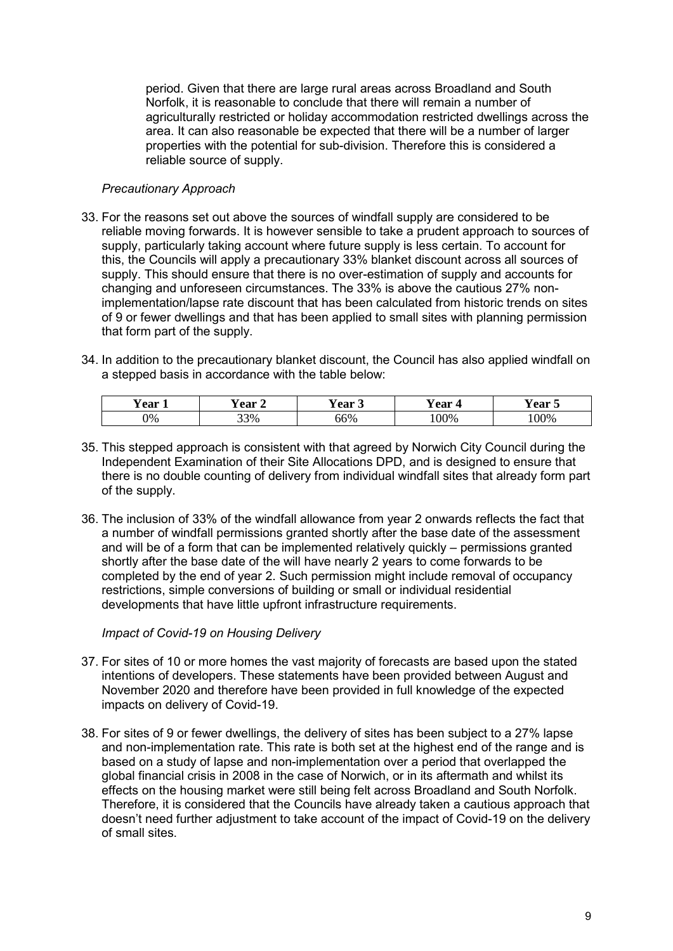period. Given that there are large rural areas across Broadland and South Norfolk, it is reasonable to conclude that there will remain a number of agriculturally restricted or holiday accommodation restricted dwellings across the area. It can also reasonable be expected that there will be a number of larger properties with the potential for sub-division. Therefore this is considered a reliable source of supply.

#### *Precautionary Approach*

- 33. For the reasons set out above the sources of windfall supply are considered to be reliable moving forwards. It is however sensible to take a prudent approach to sources of supply, particularly taking account where future supply is less certain. To account for this, the Councils will apply a precautionary 33% blanket discount across all sources of supply. This should ensure that there is no over-estimation of supply and accounts for changing and unforeseen circumstances. The 33% is above the cautious 27% nonimplementation/lapse rate discount that has been calculated from historic trends on sites of 9 or fewer dwellings and that has been applied to small sites with planning permission that form part of the supply.
- 34. In addition to the precautionary blanket discount, the Council has also applied windfall on a stepped basis in accordance with the table below:

| --<br>∕ ear | ear<br>╺ | --<br>ear<br>. پ | --<br>r ear<br>$\sqrt{2}$ | $ -$<br>`agr<br><b>T</b> cal<br>ັ |
|-------------|----------|------------------|---------------------------|-----------------------------------|
| 0%          | 33%      | 66%              | 00%                       | 00%                               |

- 35. This stepped approach is consistent with that agreed by Norwich City Council during the Independent Examination of their Site Allocations DPD, and is designed to ensure that there is no double counting of delivery from individual windfall sites that already form part of the supply.
- and will be of a form that can be implemented relatively quickly permissions granted restrictions, simple conversions of building or small or individual residential 36. The inclusion of 33% of the windfall allowance from year 2 onwards reflects the fact that a number of windfall permissions granted shortly after the base date of the assessment shortly after the base date of the will have nearly 2 years to come forwards to be completed by the end of year 2. Such permission might include removal of occupancy developments that have little upfront infrastructure requirements.

*Impact of Covid-19 on Housing Delivery*

- 37. For sites of 10 or more homes the vast majority of forecasts are based upon the stated intentions of developers. These statements have been provided between August and November 2020 and therefore have been provided in full knowledge of the expected impacts on delivery of Covid-19.
- 38. For sites of 9 or fewer dwellings, the delivery of sites has been subject to a 27% lapse and non-implementation rate. This rate is both set at the highest end of the range and is based on a study of lapse and non-implementation over a period that overlapped the global financial crisis in 2008 in the case of Norwich, or in its aftermath and whilst its effects on the housing market were still being felt across Broadland and South Norfolk. Therefore, it is considered that the Councils have already taken a cautious approach that doesn't need further adjustment to take account of the impact of Covid-19 on the delivery of small sites.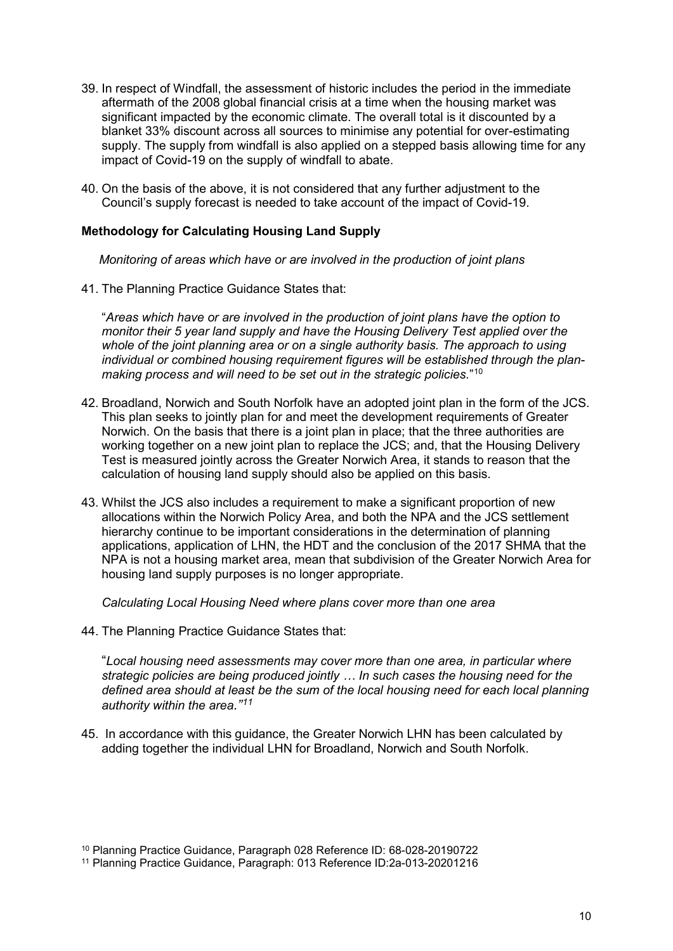- 39. In respect of Windfall, the assessment of historic includes the period in the immediate supply. The supply from windfall is also applied on a stepped basis allowing time for any aftermath of the 2008 global financial crisis at a time when the housing market was significant impacted by the economic climate. The overall total is it discounted by a blanket 33% discount across all sources to minimise any potential for over-estimating impact of Covid-19 on the supply of windfall to abate.
- 40. On the basis of the above, it is not considered that any further adjustment to the Council's supply forecast is needed to take account of the impact of Covid-19.

#### **Methodology for Calculating Housing Land Supply**

*Monitoring of areas which have or are involved in the production of joint plans* 

41. The Planning Practice Guidance States that:

 *making process and will need to be set out in the strategic policies.*"[10](#page-11-0) "*Areas which have or are involved in the production of joint plans have the option to monitor their 5 year land supply and have the Housing Delivery Test applied over the whole of the joint planning area or on a single authority basis. The approach to using individual or combined housing requirement figures will be established through the plan-*

- 42. Broadland, Norwich and South Norfolk have an adopted joint plan in the form of the JCS. This plan seeks to jointly plan for and meet the development requirements of Greater Norwich. On the basis that there is a joint plan in place; that the three authorities are working together on a new joint plan to replace the JCS; and, that the Housing Delivery Test is measured jointly across the Greater Norwich Area, it stands to reason that the calculation of housing land supply should also be applied on this basis.
- applications, application of LHN, the HDT and the conclusion of the 2017 SHMA that the 43. Whilst the JCS also includes a requirement to make a significant proportion of new allocations within the Norwich Policy Area, and both the NPA and the JCS settlement hierarchy continue to be important considerations in the determination of planning NPA is not a housing market area, mean that subdivision of the Greater Norwich Area for housing land supply purposes is no longer appropriate.

*Calculating Local Housing Need where plans cover more than one area*

44. The Planning Practice Guidance States that:

 "*Local housing need assessments may cover more than one area, in particular where strategic policies are being produced jointly … In such cases the housing need for the defined area should at least be the sum of the local housing need for each local planning authority within the area."[11](#page-11-1)*

 adding together the individual LHN for Broadland, Norwich and South Norfolk. 45. In accordance with this guidance, the Greater Norwich LHN has been calculated by

<sup>10</sup> Planning Practice Guidance, Paragraph 028 Reference ID: 68-028-20190722

<span id="page-11-1"></span><span id="page-11-0"></span><sup>11</sup> Planning Practice Guidance, Paragraph: 013 Reference ID:2a-013-20201216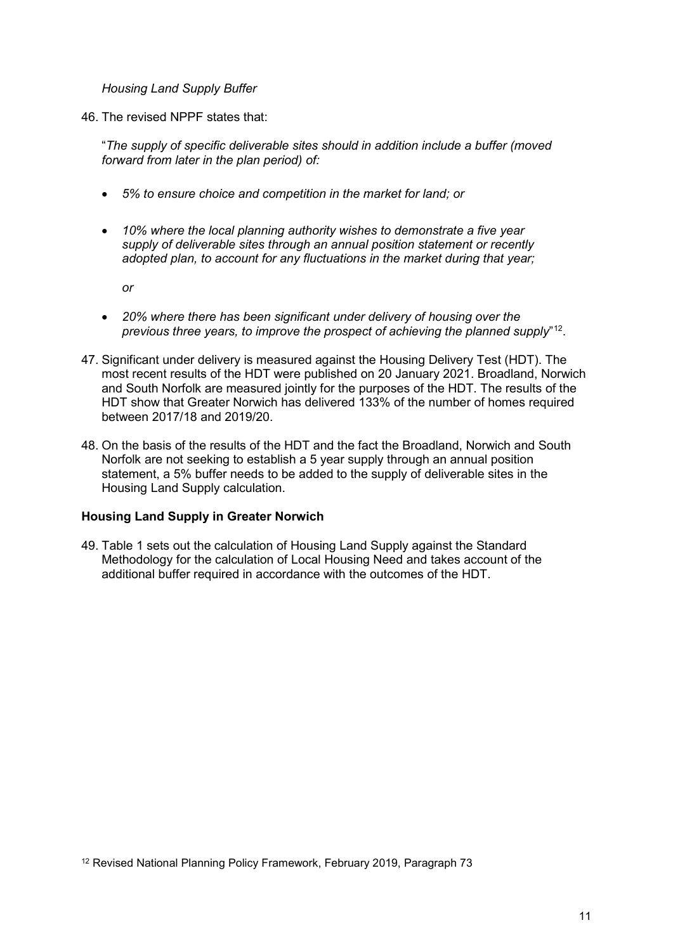*Housing Land Supply Buffer* 

46. The revised NPPF states that:

"*The supply of specific deliverable sites should in addition include a buffer (moved forward from later in the plan period) of:*

- *5% to ensure choice and competition in the market for land; or*
- *10% where the local planning authority wishes to demonstrate a five year supply of deliverable sites through an annual position statement or recently adopted plan, to account for any fluctuations in the market during that year;*

*or*

- *20% where there has been significant under delivery of housing over the previous three years, to improve the prospect of achieving the planned supply*"[12.](#page-12-0)
- and South Norfolk are measured jointly for the purposes of the HDT. The results of the HDT show that Greater Norwich has delivered 133% of the number of homes required 47. Significant under delivery is measured against the Housing Delivery Test (HDT). The most recent results of the HDT were published on 20 January 2021. Broadland, Norwich between 2017/18 and 2019/20.
- 48. On the basis of the results of the HDT and the fact the Broadland, Norwich and South Norfolk are not seeking to establish a 5 year supply through an annual position statement, a 5% buffer needs to be added to the supply of deliverable sites in the Housing Land Supply calculation.

#### **Housing Land Supply in Greater Norwich**

<span id="page-12-0"></span> Methodology for the calculation of Local Housing Need and takes account of the 49. Table 1 sets out the calculation of Housing Land Supply against the Standard additional buffer required in accordance with the outcomes of the HDT.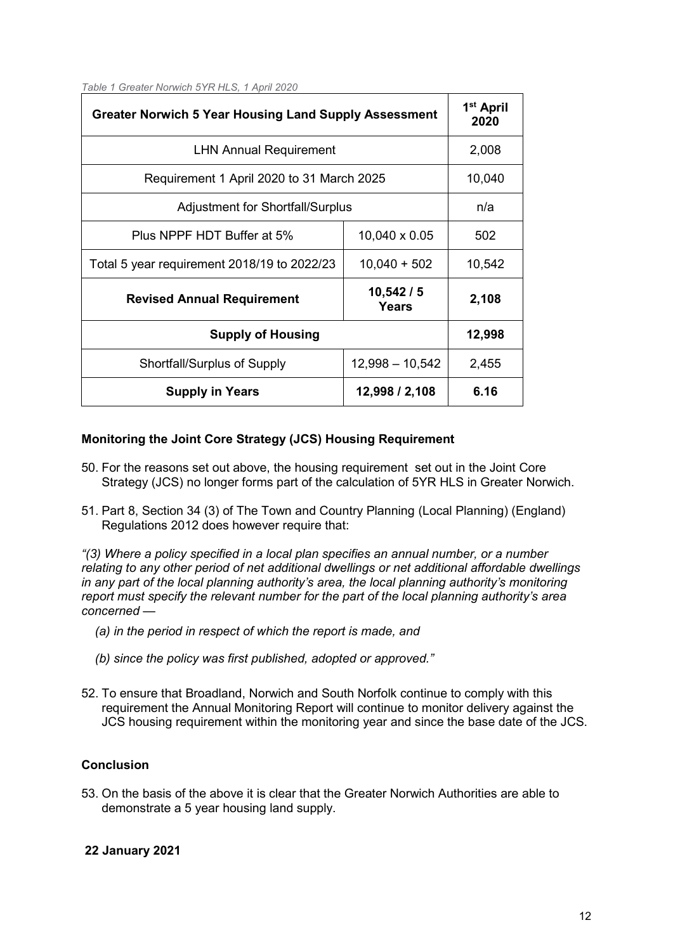|  |  |  | Table 1 Greater Norwich 5YR HLS, 1 April 2020 |  |  |  |  |  |
|--|--|--|-----------------------------------------------|--|--|--|--|--|
|--|--|--|-----------------------------------------------|--|--|--|--|--|

| <b>Greater Norwich 5 Year Housing Land Supply Assessment</b> |                   | 1 <sup>st</sup> April<br>2020 |
|--------------------------------------------------------------|-------------------|-------------------------------|
| <b>LHN Annual Requirement</b>                                | 2,008             |                               |
| Requirement 1 April 2020 to 31 March 2025                    | 10,040            |                               |
| <b>Adjustment for Shortfall/Surplus</b>                      |                   | n/a                           |
| Plus NPPF HDT Buffer at 5%                                   | 10,040 x 0.05     | 502                           |
| Total 5 year requirement 2018/19 to 2022/23                  | $10,040 + 502$    | 10,542                        |
| <b>Revised Annual Requirement</b>                            | 10,542/5<br>Years | 2,108                         |
| <b>Supply of Housing</b>                                     |                   | 12,998                        |
| <b>Shortfall/Surplus of Supply</b>                           | $12,998 - 10,542$ | 2,455                         |
| <b>Supply in Years</b>                                       | 12,998 / 2,108    | 6.16                          |

#### **Monitoring the Joint Core Strategy (JCS) Housing Requirement**

- 50. For the reasons set out above, the housing requirement set out in the Joint Core Strategy (JCS) no longer forms part of the calculation of 5YR HLS in Greater Norwich.
- 51. Part 8, Section 34 (3) of The Town and Country Planning (Local Planning) (England) Regulations 2012 does however require that:

 *"(3) Where a policy specified in a local plan specifies an annual number, or a number concerned relating to any other period of net additional dwellings or net additional affordable dwellings in any part of the local planning authority's area, the local planning authority's monitoring report must specify the relevant number for the part of the local planning authority's area* 

- *(a) in the period in respect of which the report is made, and*
- *(b) since the policy was first published, adopted or approved."*
- requirement the Annual Monitoring Report will continue to monitor delivery against the 52. To ensure that Broadland, Norwich and South Norfolk continue to comply with this JCS housing requirement within the monitoring year and since the base date of the JCS.

#### **Conclusion**

 53. On the basis of the above it is clear that the Greater Norwich Authorities are able to demonstrate a 5 year housing land supply.

#### **22 January 2021**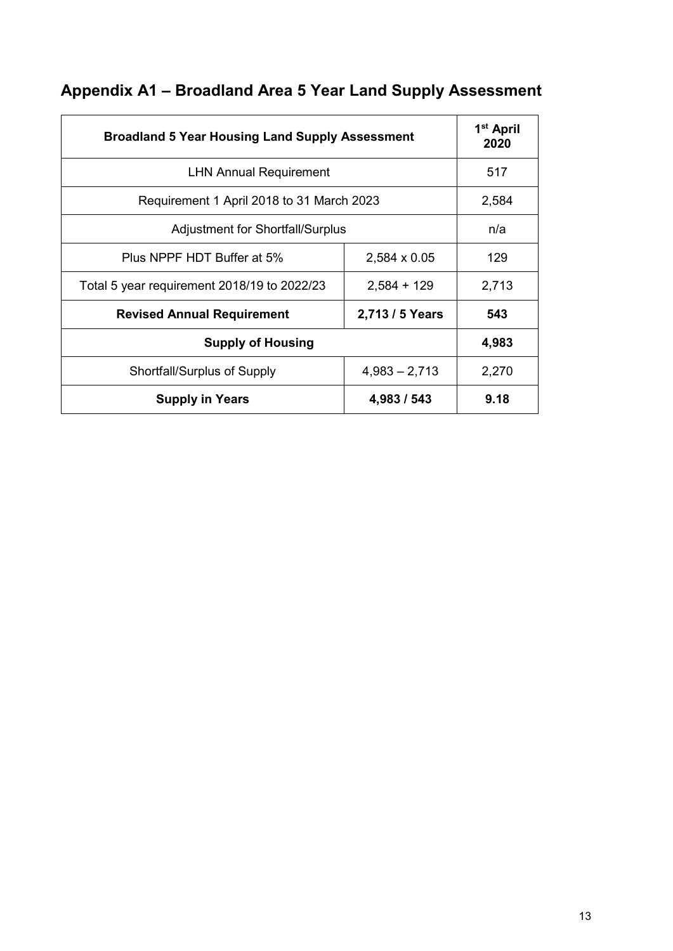|  |  | Appendix A1 - Broadland Area 5 Year Land Supply Assessment |  |
|--|--|------------------------------------------------------------|--|
|--|--|------------------------------------------------------------|--|

| <b>Broadland 5 Year Housing Land Supply Assessment</b> |                                         | 1 <sup>st</sup> April<br>2020 |  |  |  |
|--------------------------------------------------------|-----------------------------------------|-------------------------------|--|--|--|
| <b>LHN Annual Requirement</b>                          | 517                                     |                               |  |  |  |
| Requirement 1 April 2018 to 31 March 2023              | 2,584                                   |                               |  |  |  |
|                                                        | <b>Adjustment for Shortfall/Surplus</b> |                               |  |  |  |
| Plus NPPF HDT Buffer at 5%                             | 2,584 x 0.05                            | 129                           |  |  |  |
| Total 5 year requirement 2018/19 to 2022/23            | $2,584 + 129$                           | 2,713                         |  |  |  |
| <b>Revised Annual Requirement</b>                      | 2,713 / 5 Years                         | 543                           |  |  |  |
| <b>Supply of Housing</b>                               |                                         | 4,983                         |  |  |  |
| Shortfall/Surplus of Supply                            | $4,983 - 2,713$                         | 2,270                         |  |  |  |
| <b>Supply in Years</b>                                 | 4,983 / 543                             | 9.18                          |  |  |  |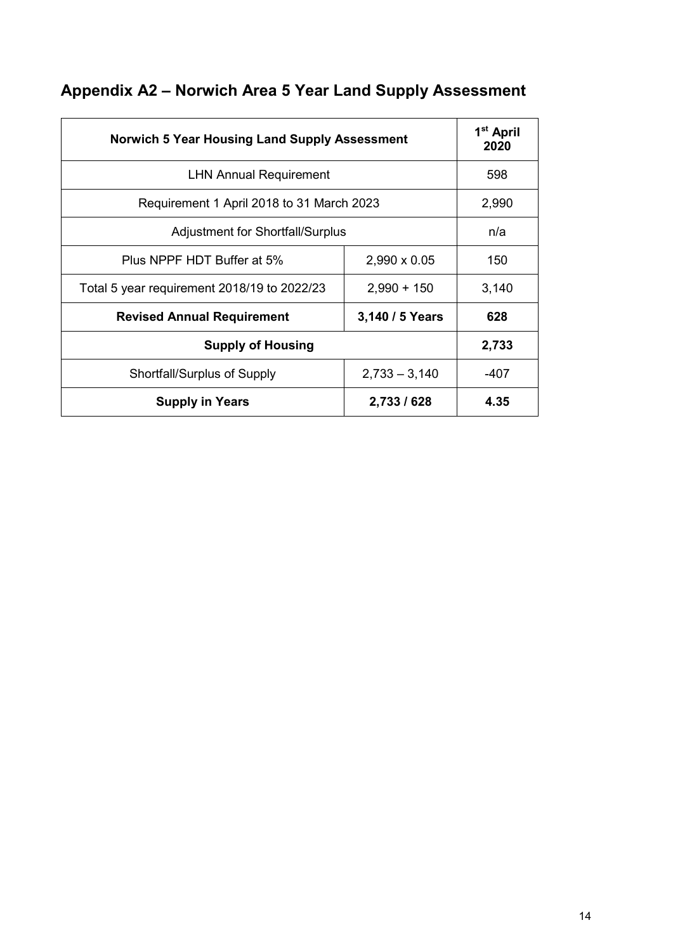| <b>Norwich 5 Year Housing Land Supply Assessment</b> |                 | 1 <sup>st</sup> April<br>2020 |  |  |  |  |
|------------------------------------------------------|-----------------|-------------------------------|--|--|--|--|
| <b>LHN Annual Requirement</b>                        | 598             |                               |  |  |  |  |
| Requirement 1 April 2018 to 31 March 2023            | 2,990           |                               |  |  |  |  |
| <b>Adjustment for Shortfall/Surplus</b>              |                 |                               |  |  |  |  |
| Plus NPPF HDT Buffer at 5%                           | 2,990 x 0.05    | 150                           |  |  |  |  |
| Total 5 year requirement 2018/19 to 2022/23          | $2,990 + 150$   | 3,140                         |  |  |  |  |
| <b>Revised Annual Requirement</b>                    | 3,140 / 5 Years | 628                           |  |  |  |  |
| <b>Supply of Housing</b>                             |                 |                               |  |  |  |  |
| Shortfall/Surplus of Supply                          | $2,733 - 3,140$ | -407                          |  |  |  |  |
| <b>Supply in Years</b>                               | 2,733 / 628     | 4.35                          |  |  |  |  |

# **Appendix A2 – Norwich Area 5 Year Land Supply Assessment**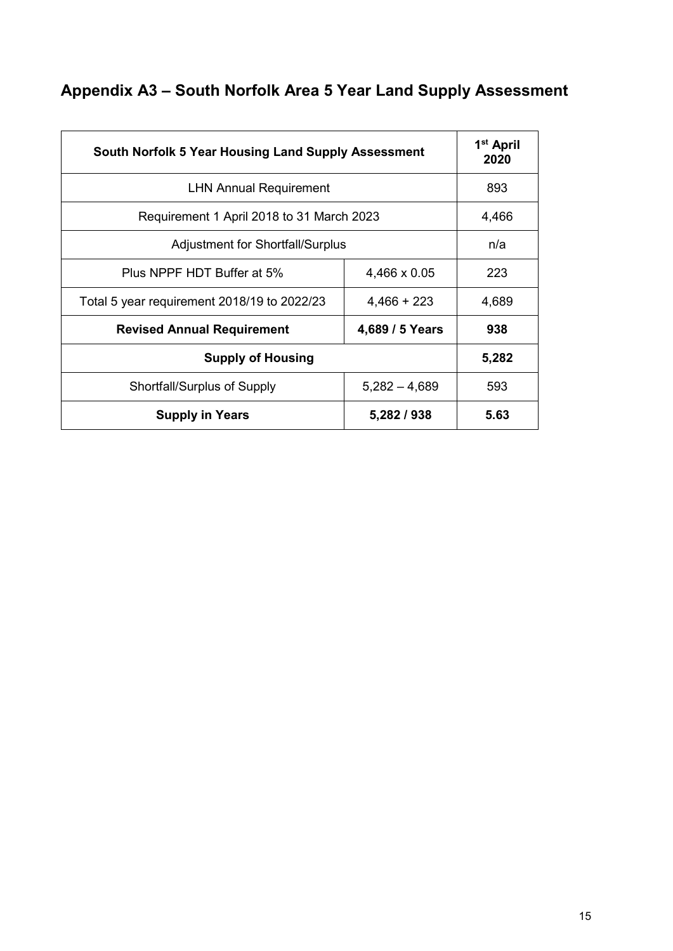# **Appendix A3 – South Norfolk Area 5 Year Land Supply Assessment**

| South Norfolk 5 Year Housing Land Supply Assessment |                 | 1 <sup>st</sup> April<br>2020 |
|-----------------------------------------------------|-----------------|-------------------------------|
| <b>LHN Annual Requirement</b>                       | 893             |                               |
| Requirement 1 April 2018 to 31 March 2023           | 4,466           |                               |
| <b>Adjustment for Shortfall/Surplus</b>             |                 | n/a                           |
| Plus NPPF HDT Buffer at 5%                          | 4,466 x 0.05    | 223                           |
| Total 5 year requirement 2018/19 to 2022/23         | $4,466 + 223$   | 4,689                         |
| <b>Revised Annual Requirement</b>                   | 4,689 / 5 Years | 938                           |
| <b>Supply of Housing</b>                            | 5,282           |                               |
| Shortfall/Surplus of Supply                         | $5,282 - 4,689$ | 593                           |
| <b>Supply in Years</b>                              | 5,282 / 938     | 5.63                          |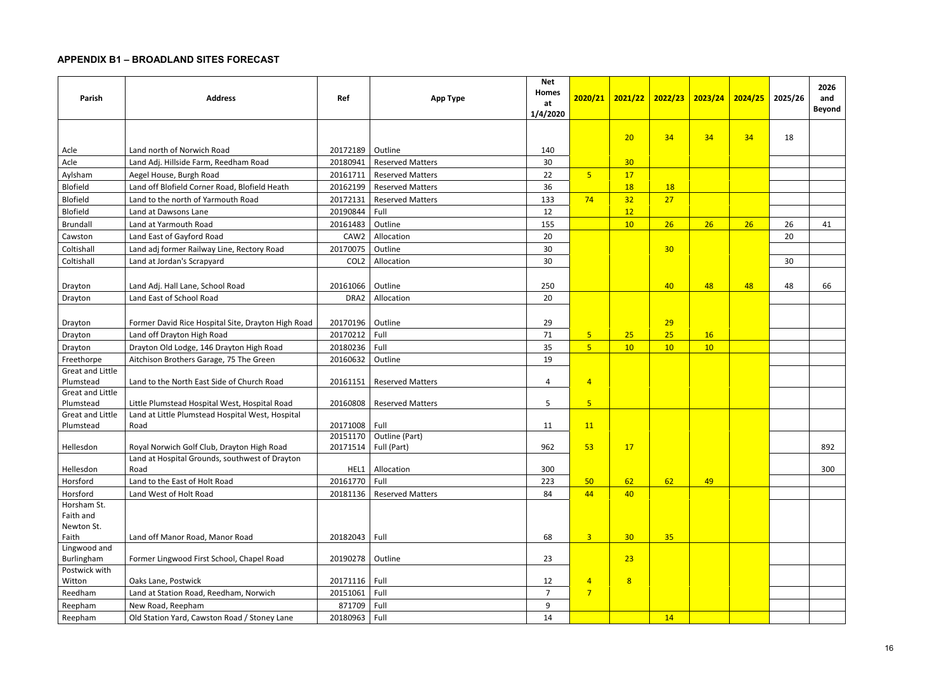# **APPENDIX B1 – BROADLAND SITES FORECAST**

| Parish                        | <b>Address</b>                                     | Ref                | <b>App Type</b>           | <b>Net</b><br>Homes<br>at<br>1/4/2020 | 2020/21                 | 2021/22         | 2022/23         | 2023/24 | 2024/25 | 2025/26 | 2026<br>and<br><b>Beyond</b> |
|-------------------------------|----------------------------------------------------|--------------------|---------------------------|---------------------------------------|-------------------------|-----------------|-----------------|---------|---------|---------|------------------------------|
|                               |                                                    |                    |                           |                                       |                         | 20              | 34              | 34      | 34      | 18      |                              |
| Acle                          | Land north of Norwich Road                         | 20172189           | Outline                   | 140                                   |                         |                 |                 |         |         |         |                              |
| Acle                          | Land Adj. Hillside Farm, Reedham Road              | 20180941           | <b>Reserved Matters</b>   | 30                                    |                         | 30 <sub>o</sub> |                 |         |         |         |                              |
| Aylsham                       | Aegel House, Burgh Road                            | 20161711           | <b>Reserved Matters</b>   | 22                                    | $\overline{\mathbf{5}}$ | 17              |                 |         |         |         |                              |
| <b>Blofield</b>               | Land off Blofield Corner Road, Blofield Heath      | 20162199           | <b>Reserved Matters</b>   | 36                                    |                         | <b>18</b>       | 18              |         |         |         |                              |
| <b>Blofield</b>               | Land to the north of Yarmouth Road                 | 20172131           | <b>Reserved Matters</b>   | 133                                   | 74                      | 32              | 27              |         |         |         |                              |
| <b>Blofield</b>               | Land at Dawsons Lane                               | 20190844           | Full                      | 12                                    |                         | 12              |                 |         |         |         |                              |
| Brundall                      | Land at Yarmouth Road                              | 20161483           | Outline                   | 155                                   |                         | 10              | 26              | 26      | 26      | 26      | 41                           |
| Cawston                       | Land East of Gayford Road                          | CAW2               | Allocation                | 20                                    |                         |                 |                 |         |         | 20      |                              |
| Coltishall                    | Land adj former Railway Line, Rectory Road         | 20170075           | Outline                   | 30                                    |                         |                 | 30 <sub>o</sub> |         |         |         |                              |
| Coltishall                    | Land at Jordan's Scrapyard                         | COL <sub>2</sub>   | Allocation                | 30                                    |                         |                 |                 |         |         | 30      |                              |
|                               |                                                    |                    |                           |                                       |                         |                 |                 |         |         |         |                              |
| Drayton                       | Land Adj. Hall Lane, School Road                   | 20161066   Outline |                           | 250                                   |                         |                 | 40              | 48      | 48      | 48      | 66                           |
| Drayton                       | Land East of School Road                           | DRA <sub>2</sub>   | Allocation                | 20                                    |                         |                 |                 |         |         |         |                              |
|                               |                                                    |                    |                           |                                       |                         |                 |                 |         |         |         |                              |
| Drayton                       | Former David Rice Hospital Site, Drayton High Road | 20170196           | Outline                   | 29                                    |                         |                 | 29              |         |         |         |                              |
| Drayton                       | Land off Drayton High Road                         | 20170212           | Full                      | 71                                    | 5 <sub>5</sub>          | 25              | 25              | 16      |         |         |                              |
| Drayton                       | Drayton Old Lodge, 146 Drayton High Road           | 20180236           | Full                      | 35                                    | $\overline{5}$          | 10              | 10              | 10      |         |         |                              |
| Freethorpe                    | Aitchison Brothers Garage, 75 The Green            | 20160632           | Outline                   | 19                                    |                         |                 |                 |         |         |         |                              |
| <b>Great and Little</b>       |                                                    |                    |                           |                                       |                         |                 |                 |         |         |         |                              |
| Plumstead                     | Land to the North East Side of Church Road         | 20161151           | <b>Reserved Matters</b>   | $\overline{a}$                        | $\overline{4}$          |                 |                 |         |         |         |                              |
| Great and Little<br>Plumstead | Little Plumstead Hospital West, Hospital Road      | 20160808           | <b>Reserved Matters</b>   | 5                                     | 5 <sub>5</sub>          |                 |                 |         |         |         |                              |
| Great and Little              | Land at Little Plumstead Hospital West, Hospital   |                    |                           |                                       |                         |                 |                 |         |         |         |                              |
| Plumstead                     | Road                                               | 20171008 Full      |                           | 11                                    | 11                      |                 |                 |         |         |         |                              |
|                               |                                                    |                    | 20151170   Outline (Part) |                                       |                         |                 |                 |         |         |         |                              |
| Hellesdon                     | Royal Norwich Golf Club, Drayton High Road         | 20171514           | Full (Part)               | 962                                   | 53                      | 17              |                 |         |         |         | 892                          |
|                               | Land at Hospital Grounds, southwest of Drayton     |                    |                           |                                       |                         |                 |                 |         |         |         |                              |
| Hellesdon                     | Road                                               |                    | HEL1 Allocation           | 300                                   |                         |                 |                 |         |         |         | 300                          |
| Horsford                      | Land to the East of Holt Road                      | 20161770 Full      |                           | 223                                   | 50                      | 62              | 62              | 49      |         |         |                              |
| Horsford                      | Land West of Holt Road                             | 20181136           | <b>Reserved Matters</b>   | 84                                    | 44                      | 40              |                 |         |         |         |                              |
| Horsham St.                   |                                                    |                    |                           |                                       |                         |                 |                 |         |         |         |                              |
| Faith and                     |                                                    |                    |                           |                                       |                         |                 |                 |         |         |         |                              |
| Newton St.                    |                                                    |                    |                           |                                       |                         |                 |                 |         |         |         |                              |
| Faith                         | Land off Manor Road, Manor Road                    | 20182043 Full      |                           | 68                                    | $\overline{\mathbf{3}}$ | 30 <sub>o</sub> | 35              |         |         |         |                              |
| Lingwood and<br>Burlingham    | Former Lingwood First School, Chapel Road          | 20190278   Outline |                           | 23                                    |                         | 23              |                 |         |         |         |                              |
| Postwick with                 |                                                    |                    |                           |                                       |                         |                 |                 |         |         |         |                              |
| Witton                        | Oaks Lane, Postwick                                | 20171116 Full      |                           | 12                                    | $\overline{4}$          | 8               |                 |         |         |         |                              |
| Reedham                       | Land at Station Road, Reedham, Norwich             | 20151061           | Full                      | $\overline{7}$                        | $\overline{7}$          |                 |                 |         |         |         |                              |
| Reepham                       | New Road, Reepham                                  | 871709 Full        |                           | $\boldsymbol{9}$                      |                         |                 |                 |         |         |         |                              |
| Reepham                       | Old Station Yard, Cawston Road / Stoney Lane       | 20180963 Full      |                           | 14                                    |                         |                 | 14              |         |         |         |                              |
|                               |                                                    |                    |                           |                                       |                         |                 |                 |         |         |         |                              |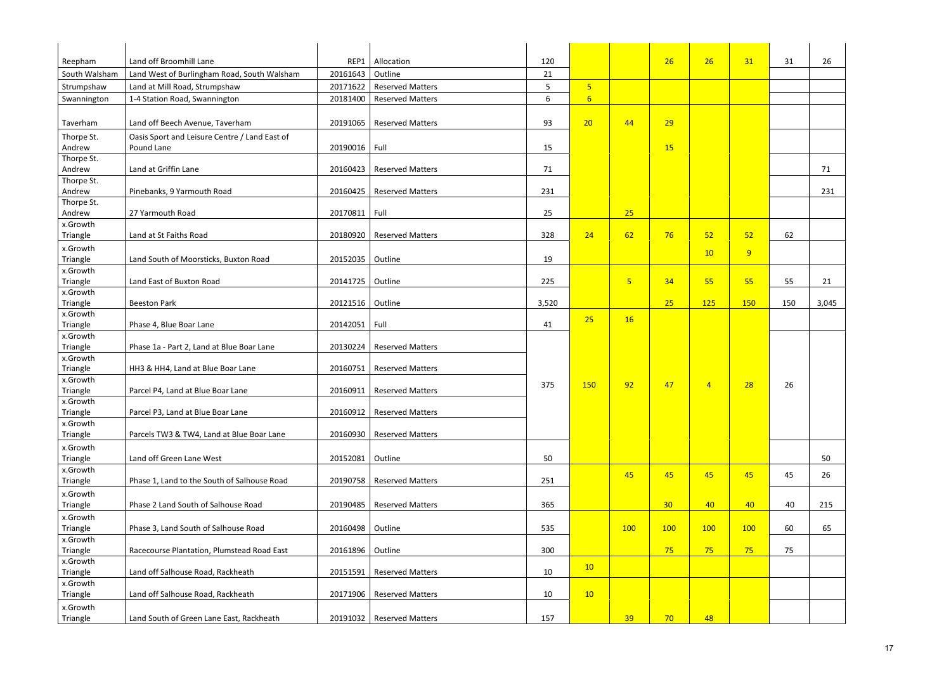| Reepham              | Land off Broomhill Lane                       | REP1               | Allocation                  | 120   |                  |                | 26              | 26             | 31  | 31  | 26    |
|----------------------|-----------------------------------------------|--------------------|-----------------------------|-------|------------------|----------------|-----------------|----------------|-----|-----|-------|
| South Walsham        | Land West of Burlingham Road, South Walsham   | 20161643           | Outline                     | 21    |                  |                |                 |                |     |     |       |
| Strumpshaw           | Land at Mill Road, Strumpshaw                 | 20171622           | <b>Reserved Matters</b>     | 5     | 5 <sub>o</sub>   |                |                 |                |     |     |       |
| Swannington          | 1-4 Station Road, Swannington                 | 20181400           | <b>Reserved Matters</b>     | 6     | $6 \overline{6}$ |                |                 |                |     |     |       |
|                      |                                               |                    |                             |       |                  |                |                 |                |     |     |       |
| Taverham             | Land off Beech Avenue, Taverham               | 20191065           | <b>Reserved Matters</b>     | 93    | 20               | 44             | 29              |                |     |     |       |
| Thorpe St.           | Oasis Sport and Leisure Centre / Land East of |                    |                             |       |                  |                |                 |                |     |     |       |
| Andrew               | Pound Lane                                    | 20190016 Full      |                             | 15    |                  |                | 15              |                |     |     |       |
| Thorpe St.           |                                               |                    |                             |       |                  |                |                 |                |     |     |       |
| Andrew               | Land at Griffin Lane                          | 20160423           | <b>Reserved Matters</b>     | 71    |                  |                |                 |                |     |     | 71    |
| Thorpe St.           |                                               |                    |                             |       |                  |                |                 |                |     |     |       |
| Andrew               | Pinebanks, 9 Yarmouth Road                    | 20160425           | <b>Reserved Matters</b>     | 231   |                  |                |                 |                |     |     | 231   |
| Thorpe St.           |                                               |                    |                             |       |                  |                |                 |                |     |     |       |
| Andrew               | 27 Yarmouth Road                              | 20170811 Full      |                             | 25    |                  | 25             |                 |                |     |     |       |
| x.Growth             |                                               |                    |                             |       |                  |                |                 |                |     |     |       |
| Triangle             | Land at St Faiths Road                        | 20180920           | <b>Reserved Matters</b>     | 328   | 24               | 62             | 76              | 52             | 52  | 62  |       |
| x.Growth             |                                               |                    |                             |       |                  |                |                 | 10             | 9   |     |       |
| Triangle             | Land South of Moorsticks, Buxton Road         | 20152035   Outline |                             | 19    |                  |                |                 |                |     |     |       |
| x.Growth             |                                               |                    |                             |       |                  |                |                 |                |     |     |       |
| Triangle             | Land East of Buxton Road                      | 20141725           | Outline                     | 225   |                  | 5 <sub>o</sub> | 34              | 55             | 55  | 55  | 21    |
| x.Growth             |                                               |                    |                             |       |                  |                |                 |                |     |     |       |
| Triangle             | <b>Beeston Park</b>                           | 20121516   Outline |                             | 3,520 |                  |                | 25              | 125            | 150 | 150 | 3,045 |
| x.Growth             |                                               |                    |                             |       | 25               | 16             |                 |                |     |     |       |
| Triangle             | Phase 4, Blue Boar Lane                       | 20142051 Full      |                             | 41    |                  |                |                 |                |     |     |       |
| x.Growth             |                                               |                    |                             |       |                  |                |                 |                |     |     |       |
| Triangle<br>x.Growth | Phase 1a - Part 2, Land at Blue Boar Lane     | 20130224           | <b>Reserved Matters</b>     |       |                  |                |                 |                |     |     |       |
| Triangle             | HH3 & HH4, Land at Blue Boar Lane             | 20160751           | <b>Reserved Matters</b>     |       |                  |                |                 |                |     |     |       |
| x.Growth             |                                               |                    |                             |       |                  |                |                 |                |     |     |       |
| Triangle             | Parcel P4, Land at Blue Boar Lane             | 20160911           | <b>Reserved Matters</b>     | 375   | 150              | 92             | 47              | $\overline{4}$ | 28  | 26  |       |
| x.Growth             |                                               |                    |                             |       |                  |                |                 |                |     |     |       |
| Triangle             | Parcel P3, Land at Blue Boar Lane             | 20160912           | <b>Reserved Matters</b>     |       |                  |                |                 |                |     |     |       |
| x.Growth             |                                               |                    |                             |       |                  |                |                 |                |     |     |       |
| Triangle             | Parcels TW3 & TW4, Land at Blue Boar Lane     | 20160930           | <b>Reserved Matters</b>     |       |                  |                |                 |                |     |     |       |
| x.Growth             |                                               |                    |                             |       |                  |                |                 |                |     |     |       |
| Triangle             | Land off Green Lane West                      | 20152081           | Outline                     | 50    |                  |                |                 |                |     |     | 50    |
| x.Growth             |                                               |                    |                             |       |                  |                |                 |                |     |     |       |
| Triangle             | Phase 1, Land to the South of Salhouse Road   | 20190758           | <b>Reserved Matters</b>     | 251   |                  | 45             | 45              | 45             | 45  | 45  | 26    |
| x.Growth             |                                               |                    |                             |       |                  |                |                 |                |     |     |       |
| Triangle             | Phase 2 Land South of Salhouse Road           | 20190485           | <b>Reserved Matters</b>     | 365   |                  |                | 30 <sub>2</sub> | 40             | 40  | 40  | 215   |
| x.Growth             |                                               |                    |                             |       |                  |                |                 |                |     |     |       |
| Triangle             | Phase 3, Land South of Salhouse Road          | 20160498   Outline |                             | 535   |                  | 100            | 100             | 100            | 100 | 60  | 65    |
| x.Growth             |                                               |                    |                             |       |                  |                |                 |                |     |     |       |
| Triangle             | Racecourse Plantation, Plumstead Road East    | 20161896   Outline |                             | 300   |                  |                | 75              | 75             | 75  | 75  |       |
| x.Growth             |                                               |                    |                             |       |                  |                |                 |                |     |     |       |
| Triangle             | Land off Salhouse Road, Rackheath             | 20151591           | <b>Reserved Matters</b>     | 10    | 10               |                |                 |                |     |     |       |
| x.Growth             |                                               |                    |                             |       |                  |                |                 |                |     |     |       |
| Triangle             | Land off Salhouse Road, Rackheath             | 20171906           | <b>Reserved Matters</b>     | 10    | 10               |                |                 |                |     |     |       |
| x.Growth             |                                               |                    |                             |       |                  |                |                 |                |     |     |       |
| Triangle             | Land South of Green Lane East, Rackheath      |                    | 20191032   Reserved Matters | 157   |                  | 39             | 70              | 48             |     |     |       |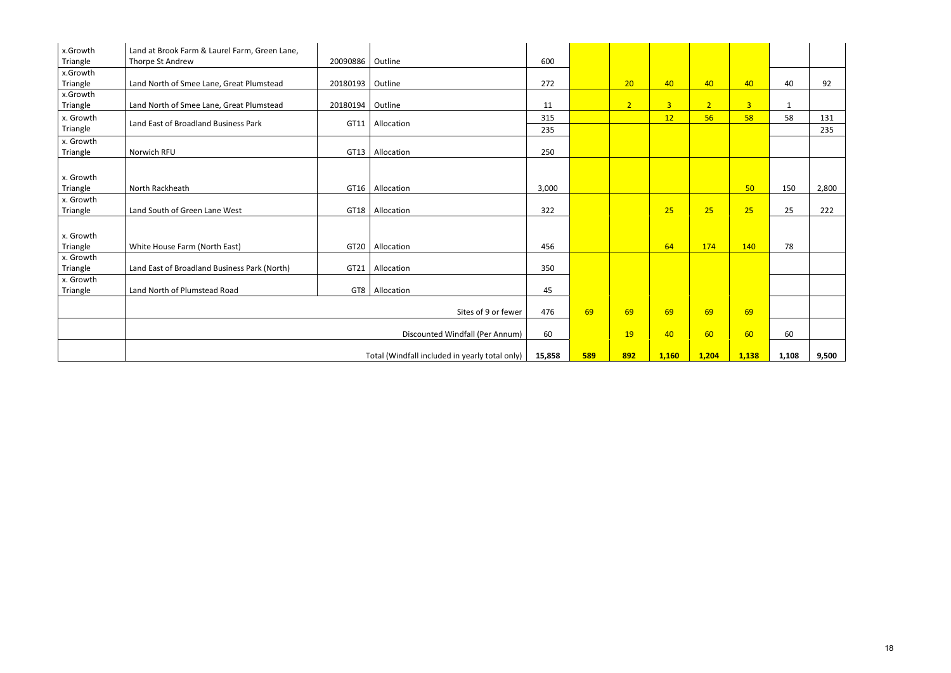| x.Growth  | Land at Brook Farm & Laurel Farm, Green Lane, |                    |                                                |        |            |                |                |                |                |              |       |
|-----------|-----------------------------------------------|--------------------|------------------------------------------------|--------|------------|----------------|----------------|----------------|----------------|--------------|-------|
| Triangle  | Thorpe St Andrew                              | 20090886           | Outline                                        | 600    |            |                |                |                |                |              |       |
| x.Growth  |                                               |                    |                                                |        |            |                |                |                |                |              |       |
| Triangle  | Land North of Smee Lane, Great Plumstead      | 20180193   Outline |                                                | 272    |            | 20             | 40             | 40             | 40             | 40           | 92    |
| x.Growth  |                                               |                    |                                                |        |            |                |                |                |                |              |       |
| Triangle  | Land North of Smee Lane, Great Plumstead      | 20180194   Outline |                                                | 11     |            | $\overline{2}$ | 3 <sup>1</sup> | 2 <sup>1</sup> | $\overline{3}$ | $\mathbf{1}$ |       |
| x. Growth | Land East of Broadland Business Park          | GT11               | Allocation                                     | 315    |            |                | 12             | 56             | 58             | 58           | 131   |
| Triangle  |                                               |                    |                                                | 235    |            |                |                |                |                |              | 235   |
| x. Growth |                                               |                    |                                                |        |            |                |                |                |                |              |       |
| Triangle  | Norwich RFU                                   | GT13               | Allocation                                     | 250    |            |                |                |                |                |              |       |
|           |                                               |                    |                                                |        |            |                |                |                |                |              |       |
| x. Growth |                                               |                    |                                                |        |            |                |                |                |                |              |       |
| Triangle  | North Rackheath                               | GT16               | Allocation                                     | 3,000  |            |                |                |                | 50             | 150          | 2,800 |
| x. Growth |                                               |                    |                                                |        |            |                |                |                |                |              |       |
| Triangle  | Land South of Green Lane West                 | GT18               | Allocation                                     | 322    |            |                | 25             | 25             | 25             | 25           | 222   |
|           |                                               |                    |                                                |        |            |                |                |                |                |              |       |
| x. Growth |                                               |                    |                                                |        |            |                |                |                |                |              |       |
| Triangle  | White House Farm (North East)                 | GT <sub>20</sub>   | Allocation                                     | 456    |            |                | 64             | 174            | 140            | 78           |       |
| x. Growth |                                               |                    |                                                |        |            |                |                |                |                |              |       |
| Triangle  | Land East of Broadland Business Park (North)  | GT21               | Allocation                                     | 350    |            |                |                |                |                |              |       |
| x. Growth |                                               |                    |                                                |        |            |                |                |                |                |              |       |
| Triangle  | Land North of Plumstead Road                  |                    | GT8   Allocation                               | 45     |            |                |                |                |                |              |       |
|           |                                               |                    |                                                |        |            |                |                |                |                |              |       |
|           |                                               |                    | Sites of 9 or fewer                            | 476    | 69         | 69             | 69             | 69             | 69             |              |       |
|           |                                               |                    |                                                |        |            |                |                |                |                |              |       |
|           |                                               |                    | Discounted Windfall (Per Annum)                | 60     |            | <b>19</b>      | 40             | 60             | 60             | 60           |       |
|           |                                               |                    | Total (Windfall included in yearly total only) | 15,858 | <b>589</b> | 892            | 1,160          | 1,204          | 1,138          | 1,108        | 9,500 |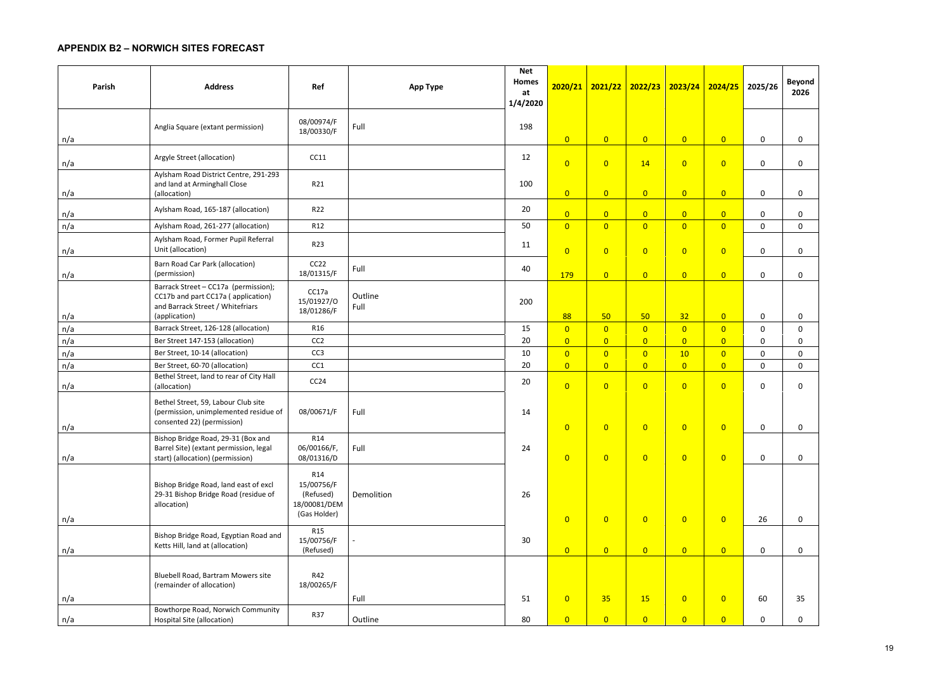# **APPENDIX B2 – NORWICH SITES FORECAST**

| Parish | <b>Address</b>                                                                                                                  | Ref                                                                        | <b>App Type</b> | <b>Net</b><br>Homes<br>at<br>1/4/2020 |                |                | 2020/21 2021/22 2022/23 | $2023/24$ 2024/25 |                | 2025/26      | <b>Beyond</b><br>2026 |
|--------|---------------------------------------------------------------------------------------------------------------------------------|----------------------------------------------------------------------------|-----------------|---------------------------------------|----------------|----------------|-------------------------|-------------------|----------------|--------------|-----------------------|
| n/a    | Anglia Square (extant permission)                                                                                               | 08/00974/F<br>18/00330/F                                                   | Full            | 198                                   | $\overline{0}$ | $\overline{0}$ | $\overline{0}$          | $\overline{0}$    | $\overline{0}$ | $\mathsf{O}$ | $\mathbf 0$           |
| n/a    | Argyle Street (allocation)                                                                                                      | CC11                                                                       |                 | 12                                    | $\overline{0}$ | $\overline{0}$ | 14                      | $\overline{0}$    | $\overline{0}$ | $\mathsf{O}$ | $\mathbf 0$           |
| n/a    | Aylsham Road District Centre, 291-293<br>and land at Arminghall Close<br>(allocation)                                           | R21                                                                        |                 | 100                                   | $\overline{0}$ | $\overline{0}$ | $\overline{0}$          | $\overline{0}$    | $\overline{0}$ | $\mathbf 0$  | $\mathbf 0$           |
| n/a    | Aylsham Road, 165-187 (allocation)                                                                                              | R22                                                                        |                 | 20                                    | $\overline{0}$ | $\overline{0}$ | $\overline{0}$          | $\overline{0}$    | $\overline{0}$ | 0            | $\mathbf 0$           |
| n/a    | Aylsham Road, 261-277 (allocation)                                                                                              | R12                                                                        |                 | 50                                    | $\overline{0}$ | $\overline{0}$ | $\overline{0}$          | $\overline{0}$    | $\overline{0}$ | $\mathbf 0$  | $\mathbf 0$           |
| n/a    | Aylsham Road, Former Pupil Referral<br>Unit (allocation)                                                                        | R23                                                                        |                 | 11                                    | $\overline{0}$ | $\overline{0}$ | $\overline{0}$          | $\overline{0}$    | $\overline{0}$ | $\mathbf 0$  | $\mathbf 0$           |
| n/a    | Barn Road Car Park (allocation)<br>(permission)                                                                                 | CC22<br>18/01315/F                                                         | Full            | 40                                    | 179            | $\overline{0}$ | $\overline{0}$          | $\overline{0}$    | $\overline{0}$ | $\mathbf 0$  | $\mathbf 0$           |
| n/a    | Barrack Street - CC17a (permission);<br>CC17b and part CC17a (application)<br>and Barrack Street / Whitefriars<br>(application) | CC17a<br>15/01927/0<br>18/01286/F                                          | Outline<br>Full | 200                                   | 88             | 50             | 50                      | 32                | $\overline{0}$ | 0            | $\mathsf{O}$          |
| n/a    | Barrack Street, 126-128 (allocation)                                                                                            | R <sub>16</sub>                                                            |                 | 15                                    | $\overline{0}$ | $\overline{0}$ | $\overline{0}$          | $\overline{0}$    | $\overline{0}$ | 0            | $\mathbf 0$           |
| n/a    | Ber Street 147-153 (allocation)                                                                                                 | CC <sub>2</sub>                                                            |                 | 20                                    | $\overline{0}$ | $\overline{0}$ | $\overline{0}$          | $\overline{0}$    | $\overline{0}$ | 0            | 0                     |
| n/a    | Ber Street, 10-14 (allocation)                                                                                                  | CC <sub>3</sub>                                                            |                 | 10                                    | $\overline{0}$ | $\overline{0}$ | $\overline{0}$          | 10                | $\overline{0}$ | 0            | $\mathsf{O}$          |
| n/a    | Ber Street, 60-70 (allocation)                                                                                                  | CC1                                                                        |                 | 20                                    | $\overline{0}$ | $\overline{0}$ | $\overline{0}$          | $\overline{0}$    | $\overline{0}$ | $\mathbf 0$  | $\mathbf 0$           |
| n/a    | Bethel Street, land to rear of City Hall<br>(allocation)                                                                        | CC24                                                                       |                 | 20                                    | $\overline{0}$ | $\overline{0}$ | $\overline{0}$          | $\overline{0}$    | $\overline{0}$ | $\mathbf 0$  | $\mathbf 0$           |
| n/a    | Bethel Street, 59, Labour Club site<br>(permission, unimplemented residue of<br>consented 22) (permission)                      | 08/00671/F                                                                 | Full            | 14                                    | $\overline{0}$ | $\overline{0}$ | $\overline{0}$          | $\overline{0}$    | $\overline{0}$ | $\mathbf 0$  | $\mathsf{O}$          |
| n/a    | Bishop Bridge Road, 29-31 (Box and<br>Barrel Site) (extant permission, legal<br>start) (allocation) (permission)                | R <sub>14</sub><br>06/00166/F,<br>08/01316/D                               | Full            | 24                                    | $\overline{0}$ | $\overline{0}$ | $\overline{0}$          | $\overline{0}$    | $\overline{0}$ | $\mathbf 0$  | $\mathbf 0$           |
| n/a    | Bishop Bridge Road, land east of excl<br>29-31 Bishop Bridge Road (residue of<br>allocation)                                    | R <sub>14</sub><br>15/00756/F<br>(Refused)<br>18/00081/DEM<br>(Gas Holder) | Demolition      | 26                                    | $\overline{0}$ | $\overline{0}$ | $\overline{0}$          | $\overline{0}$    | $\overline{0}$ | 26           | $\mathbf 0$           |
| n/a    | Bishop Bridge Road, Egyptian Road and<br>Ketts Hill, land at (allocation)                                                       | <b>R15</b><br>15/00756/F<br>(Refused)                                      |                 | 30 <sup>°</sup>                       | $\overline{0}$ | $\overline{0}$ | $\overline{0}$          | $\overline{0}$    | $\overline{0}$ | $\mathsf{O}$ | $\mathbf 0$           |
|        | Bluebell Road, Bartram Mowers site<br>(remainder of allocation)                                                                 | R42<br>18/00265/F                                                          |                 |                                       |                |                |                         |                   |                |              |                       |
| n/a    |                                                                                                                                 |                                                                            | Full            | 51                                    | $\overline{0}$ | 35             | 15                      | $\overline{0}$    | $\overline{0}$ | 60           | 35                    |
| n/a    | Bowthorpe Road, Norwich Community<br>Hospital Site (allocation)                                                                 | <b>R37</b>                                                                 | Outline         | 80                                    | $\overline{0}$ | $\overline{0}$ | $\overline{0}$          | $\overline{0}$    | $\overline{0}$ | $\mathsf{O}$ | $\mathbf{0}$          |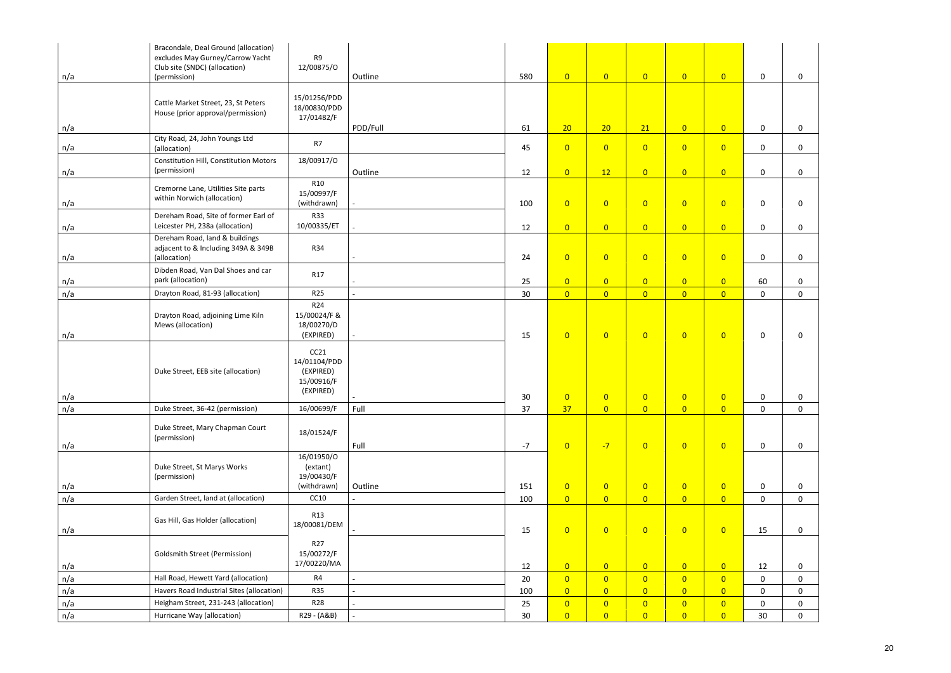| n/a | Bracondale, Deal Ground (allocation)<br>excludes May Gurney/Carrow Yacht<br>Club site (SNDC) (allocation)<br>(permission) | R <sub>9</sub><br>12/00875/0                                 | Outline  | 580  | $\overline{0}$ | $\overline{0}$ | $\overline{0}$ | $\overline{0}$ | $\overline{0}$ | $\mathbf 0$     | $\mathbf 0$  |
|-----|---------------------------------------------------------------------------------------------------------------------------|--------------------------------------------------------------|----------|------|----------------|----------------|----------------|----------------|----------------|-----------------|--------------|
|     |                                                                                                                           |                                                              |          |      |                |                |                |                |                |                 |              |
|     | Cattle Market Street, 23, St Peters<br>House (prior approval/permission)                                                  | 15/01256/PDD<br>18/00830/PDD<br>17/01482/F                   |          |      |                |                |                |                |                |                 |              |
| n/a |                                                                                                                           |                                                              | PDD/Full | 61   | 20             | 20             | 21             | $\overline{0}$ | $\overline{0}$ | $\mathsf{O}$    | $\mathbf 0$  |
| n/a | City Road, 24, John Youngs Ltd<br>(allocation)                                                                            | R7                                                           |          | 45   | $\overline{0}$ | $\overline{0}$ | $\overline{0}$ | $\overline{0}$ | $\overline{0}$ | 0               | $\mathbf 0$  |
| n/a | <b>Constitution Hill, Constitution Motors</b><br>(permission)                                                             | 18/00917/0                                                   | Outline  | 12   | $\overline{0}$ | 12             | $\overline{0}$ | $\overline{0}$ | $\overline{0}$ | $\mathbf 0$     | $\mathbf 0$  |
| n/a | Cremorne Lane, Utilities Site parts<br>within Norwich (allocation)                                                        | <b>R10</b><br>15/00997/F<br>(withdrawn)                      |          | 100  | $\overline{0}$ | $\overline{0}$ | $\overline{0}$ | $\overline{0}$ | $\overline{0}$ | $\mathbf 0$     | $\mathbf 0$  |
|     | Dereham Road, Site of former Earl of<br>Leicester PH, 238a (allocation)                                                   | <b>R33</b><br>10/00335/ET                                    |          |      | $\overline{0}$ | $\overline{0}$ | $\overline{0}$ | $\overline{0}$ | $\overline{0}$ | $\mathbf 0$     | $\mathbf 0$  |
| n/a | Dereham Road, land & buildings<br>adjacent to & Including 349A & 349B                                                     | R34                                                          |          | 12   |                |                |                |                |                |                 |              |
| n/a | (allocation)                                                                                                              |                                                              |          | 24   | $\overline{0}$ | $\overline{0}$ | $\overline{0}$ | $\overline{0}$ | $\overline{0}$ | $\mathsf{O}$    | $\mathbf 0$  |
| n/a | Dibden Road, Van Dal Shoes and car<br>park (allocation)                                                                   | R17                                                          |          | 25   | $\overline{0}$ | $\overline{0}$ | $\overline{0}$ | $\overline{0}$ | $\overline{0}$ | 60              | $\mathsf{O}$ |
| n/a | Drayton Road, 81-93 (allocation)                                                                                          | R <sub>25</sub>                                              |          | 30   | $\overline{0}$ | $\overline{0}$ | $\overline{0}$ | $\overline{0}$ | $\overline{0}$ | $\mathbf 0$     | $\mathbf 0$  |
| n/a | Drayton Road, adjoining Lime Kiln<br>Mews (allocation)                                                                    | R24<br>15/00024/F &<br>18/00270/D<br>(EXPIRED)               |          | 15   | $\overline{0}$ | $\overline{0}$ | $\overline{0}$ | $\overline{0}$ | $\overline{0}$ | 0               | 0            |
| n/a | Duke Street, EEB site (allocation)                                                                                        | CC21<br>14/01104/PDD<br>(EXPIRED)<br>15/00916/F<br>(EXPIRED) |          | 30   | $\overline{0}$ | $\overline{0}$ | $\overline{0}$ | $\overline{0}$ | $\overline{0}$ | 0               | 0            |
| n/a | Duke Street, 36-42 (permission)                                                                                           | 16/00699/F                                                   | Full     | 37   | 37             | $\overline{0}$ | $\overline{0}$ | $\overline{0}$ | $\overline{0}$ | $\mathsf{O}$    | $\mathbf 0$  |
| n/a | Duke Street, Mary Chapman Court<br>(permission)                                                                           | 18/01524/F                                                   | Full     | $-7$ | $\overline{0}$ | $-7$           | $\overline{0}$ | $\overline{0}$ | $\overline{0}$ | $\mathsf{O}$    | $\mathbf 0$  |
| n/a | Duke Street, St Marys Works<br>(permission)                                                                               | 16/01950/O<br>(extant)<br>19/00430/F<br>(withdrawn)          | Outline  | 151  | $\overline{0}$ | $\overline{0}$ | $\overline{0}$ | $\overline{0}$ | $\overline{0}$ | $\mathbf 0$     | $\mathbf 0$  |
| n/a | Garden Street, land at (allocation)                                                                                       | CC10                                                         |          | 100  | $\overline{0}$ | $\overline{0}$ | $\overline{0}$ | $\overline{0}$ | $\overline{0}$ | $\mathsf{O}$    | $\mathbf{0}$ |
| n/a | Gas Hill, Gas Holder (allocation)                                                                                         | <b>R13</b><br>18/00081/DEM                                   |          | 15   | $\overline{0}$ | $\overline{0}$ | $\overline{0}$ | $\overline{0}$ | $\overline{0}$ | 15              | $\mathbf 0$  |
|     | <b>Goldsmith Street (Permission)</b>                                                                                      | R <sub>27</sub><br>15/00272/F                                |          |      |                |                |                |                |                |                 |              |
| n/a |                                                                                                                           | 17/00220/MA                                                  |          | 12   | $\overline{0}$ | $\overline{0}$ | $\overline{0}$ | $\overline{0}$ | $\overline{0}$ | 12              | $\mathbf 0$  |
| n/a | Hall Road, Hewett Yard (allocation)                                                                                       | R4                                                           |          | 20   | $\overline{0}$ | $\overline{0}$ | $\overline{0}$ | $\overline{0}$ | $\overline{0}$ | 0               | $\mathbf 0$  |
| n/a | Havers Road Industrial Sites (allocation)                                                                                 | <b>R35</b>                                                   |          | 100  | $\overline{0}$ | $\overline{0}$ | $\overline{0}$ | $\overline{0}$ | $\overline{0}$ | $\mathsf{O}$    | $\mathbf 0$  |
| n/a | Heigham Street, 231-243 (allocation)                                                                                      | <b>R28</b>                                                   |          | 25   | $\overline{0}$ | $\overline{0}$ | $\overline{0}$ | $\overline{0}$ | $\overline{0}$ | 0               | $\mathbf 0$  |
| n/a | Hurricane Way (allocation)                                                                                                | R29 - (A&B)                                                  |          | 30   | $\overline{0}$ | $\overline{0}$ | $\overline{0}$ | $\overline{0}$ | $\overline{0}$ | 30 <sup>°</sup> | $\mathbf 0$  |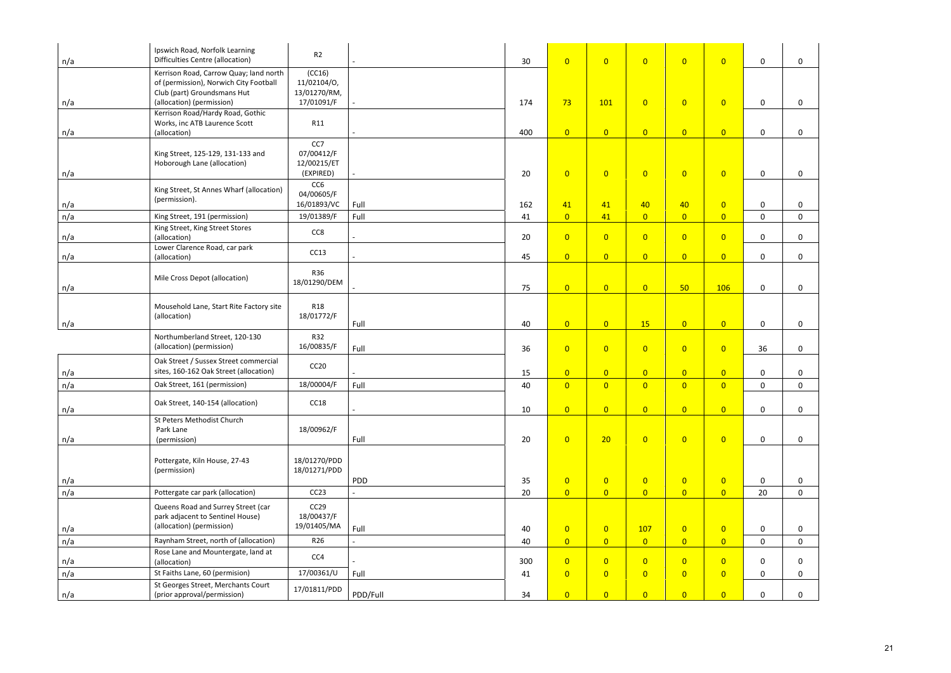| n/a | Ipswich Road, Norfolk Learning<br>Difficulties Centre (allocation)                                              | R2                                            |          | 30       | $\overline{0}$                   | $\overline{0}$                   | $\overline{0}$        | $\overline{0}$                   | $\overline{0}$                   | $\mathbf 0$                | $\mathbf 0$                |
|-----|-----------------------------------------------------------------------------------------------------------------|-----------------------------------------------|----------|----------|----------------------------------|----------------------------------|-----------------------|----------------------------------|----------------------------------|----------------------------|----------------------------|
|     | Kerrison Road, Carrow Quay; land north<br>of (permission), Norwich City Football<br>Club (part) Groundsmans Hut | (CC16)<br>11/02104/0,<br>13/01270/RM,         |          |          |                                  |                                  |                       |                                  |                                  |                            |                            |
| n/a | (allocation) (permission)<br>Kerrison Road/Hardy Road, Gothic                                                   | 17/01091/F                                    |          | 174      | 73                               | 101                              | $\overline{0}$        | $\overline{0}$                   | $\overline{0}$                   | $\mathbf 0$                | $\mathbf 0$                |
| n/a | Works, inc ATB Laurence Scott<br>(allocation)                                                                   | R11                                           |          | 400      | $\overline{0}$                   | $\overline{0}$                   | $\overline{0}$        | $\overline{0}$                   | $\overline{0}$                   | $\mathbf 0$                | $\mathbf 0$                |
| n/a | King Street, 125-129, 131-133 and<br>Hoborough Lane (allocation)                                                | CC7<br>07/00412/F<br>12/00215/ET<br>(EXPIRED) |          | 20       | $\overline{0}$                   | $\overline{0}$                   | $\overline{0}$        | $\overline{0}$                   | $\overline{0}$                   | $\mathbf 0$                | $\mathbf 0$                |
| n/a | King Street, St Annes Wharf (allocation)<br>(permission).                                                       | CC6<br>04/00605/F<br>16/01893/VC              | Full     | 162      | 41                               | 41                               | 40                    | 40                               | $\overline{0}$                   | $\mathbf 0$                | $\mathbf 0$                |
| n/a | King Street, 191 (permission)                                                                                   | 19/01389/F                                    | Full     | 41       | $\overline{0}$                   | 41                               | $\overline{0}$        | $\overline{0}$                   | $\overline{0}$                   | $\mathbf 0$                | $\mathbf 0$                |
| n/a | King Street, King Street Stores<br>(allocation)                                                                 | CC8                                           |          | 20       | $\overline{0}$                   | $\overline{0}$                   | $\overline{0}$        | $\overline{0}$                   | $\overline{0}$                   | $\mathbf 0$                | $\mathbf 0$                |
| n/a | Lower Clarence Road, car park<br>(allocation)                                                                   | CC13                                          |          | 45       | $\overline{0}$                   | $\overline{0}$                   | $\overline{0}$        | $\overline{0}$                   | $\overline{0}$                   | $\mathsf{O}$               | $\mathbf 0$                |
|     |                                                                                                                 |                                               |          |          |                                  |                                  |                       |                                  |                                  |                            |                            |
| n/a | Mile Cross Depot (allocation)                                                                                   | R36<br>18/01290/DEM                           |          | 75       | $\overline{0}$                   | $\overline{0}$                   | $\overline{0}$        | 50 <sub>2</sub>                  | 106                              | $\mathbf 0$                | $\mathbf 0$                |
| n/a | Mousehold Lane, Start Rite Factory site<br>(allocation)                                                         | R <sub>18</sub><br>18/01772/F                 | Full     | 40       | $\overline{0}$                   | $\overline{0}$                   | <b>15</b>             | $\overline{0}$                   | $\overline{0}$                   | $\mathsf{O}$               | $\mathbf 0$                |
|     | Northumberland Street, 120-130<br>(allocation) (permission)                                                     | <b>R32</b><br>16/00835/F                      | Full     | 36       | $\overline{0}$                   | $\overline{0}$                   | $\overline{0}$        | $\overline{0}$                   | $\overline{0}$                   | 36                         | $\mathbf 0$                |
| n/a | Oak Street / Sussex Street commercial<br>sites, 160-162 Oak Street (allocation)                                 | CC20                                          |          | 15       | $\overline{0}$                   | $\overline{0}$                   | $\overline{0}$        | $\overline{0}$                   | $\overline{0}$                   | $\mathbf 0$                | $\mathbf 0$                |
| n/a | Oak Street, 161 (permission)                                                                                    | 18/00004/F                                    | Full     | 40       | $\overline{0}$                   | $\overline{0}$                   | $\overline{0}$        | $\overline{0}$                   | $\overline{0}$                   | $\mathsf{O}$               | $\mathbf 0$                |
| n/a | Oak Street, 140-154 (allocation)                                                                                | CC <sub>18</sub>                              |          | $10\,$   | $\overline{0}$                   | $\overline{0}$                   | $\overline{0}$        | $\overline{0}$                   | $\overline{0}$                   | $\mathbf 0$                | $\mathbf 0$                |
| n/a | St Peters Methodist Church<br>Park Lane<br>(permission)                                                         | 18/00962/F                                    | Full     | 20       | $\overline{0}$                   | 20                               | $\overline{0}$        | $\overline{0}$                   | $\overline{0}$                   | $\mathsf{O}$               | $\mathbf 0$                |
|     | Pottergate, Kiln House, 27-43<br>(permission)                                                                   | 18/01270/PDD<br>18/01271/PDD                  |          |          |                                  |                                  |                       |                                  |                                  |                            |                            |
| n/a |                                                                                                                 |                                               | PDD      | 35       | $\overline{0}$                   | $\overline{0}$                   | $\overline{0}$        | $\overline{0}$                   | $\overline{0}$                   | $\mathbf 0$                | $\mathbf 0$                |
| n/a | Pottergate car park (allocation)                                                                                | CC23                                          |          | 20       | $\overline{0}$                   | $\overline{0}$                   | $\overline{0}$        | $\overline{0}$                   | $\overline{0}$                   | 20                         | $\mathbf 0$                |
|     | Queens Road and Surrey Street (car<br>park adjacent to Sentinel House)<br>(allocation) (permission)             | CC29<br>18/00437/F<br>19/01405/MA             |          |          |                                  |                                  |                       |                                  |                                  |                            |                            |
| n/a | Raynham Street, north of (allocation)                                                                           | R <sub>26</sub>                               | Full     | 40<br>40 | $\overline{0}$<br>$\overline{0}$ | $\overline{0}$<br>$\overline{0}$ | 107<br>$\overline{0}$ | $\overline{0}$<br>$\overline{0}$ | $\overline{0}$<br>$\overline{0}$ | $\mathbf 0$<br>$\mathbf 0$ | $\mathbf 0$<br>$\mathbf 0$ |
| n/a | Rose Lane and Mountergate, land at                                                                              |                                               |          |          |                                  |                                  |                       |                                  |                                  |                            |                            |
| n/a | (allocation)                                                                                                    | CC4                                           |          | 300      | $\overline{0}$                   | $\overline{0}$                   | $\overline{0}$        | $\overline{0}$                   | $\overline{0}$                   | $\mathbf 0$                | $\mathbf 0$                |
| n/a | St Faiths Lane, 60 (permision)                                                                                  | 17/00361/U                                    | Full     | 41       | $\overline{0}$                   | $\overline{0}$                   | $\overline{0}$        | $\overline{0}$                   | $\overline{0}$                   | $\mathbf 0$                | $\mathbf{0}$               |
| n/a | St Georges Street, Merchants Court<br>(prior approval/permission)                                               | 17/01811/PDD                                  | PDD/Full | 34       | $\overline{0}$                   | $\overline{0}$                   | $\overline{0}$        | $\overline{0}$                   | $\overline{0}$                   | $\mathbf 0$                | $\mathbf 0$                |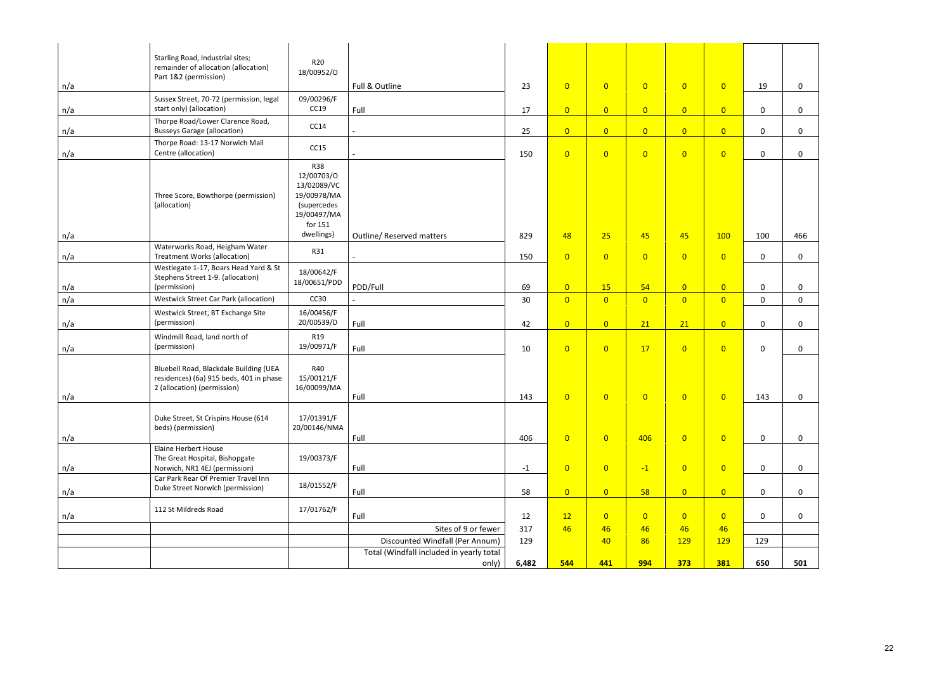|     | Starling Road, Industrial sites;<br>remainder of allocation (allocation)<br>Part 1&2 (permission)                              | R <sub>20</sub><br>18/00952/0                                                                   |                                                                             |           |                |                      |                      |                      |                      |              |              |
|-----|--------------------------------------------------------------------------------------------------------------------------------|-------------------------------------------------------------------------------------------------|-----------------------------------------------------------------------------|-----------|----------------|----------------------|----------------------|----------------------|----------------------|--------------|--------------|
| n/a |                                                                                                                                |                                                                                                 | Full & Outline                                                              | 23        | $\overline{0}$ | $\overline{0}$       | $\overline{0}$       | $\overline{0}$       | $\overline{0}$       | 19           | $\mathbf 0$  |
| n/a | Sussex Street, 70-72 (permission, legal<br>start only) (allocation)                                                            | 09/00296/F<br>CC19                                                                              | Full                                                                        | 17        | $\overline{0}$ | $\overline{0}$       | $\overline{0}$       | $\overline{0}$       | $\overline{0}$       | $\mathsf{O}$ | $\mathbf 0$  |
| n/a | Thorpe Road/Lower Clarence Road,<br><b>Busseys Garage (allocation)</b>                                                         | CC14                                                                                            |                                                                             | 25        | $\overline{0}$ | $\overline{0}$       | $\overline{0}$       | $\overline{0}$       | $\overline{0}$       | $\mathsf{O}$ | $\mathbf 0$  |
| n/a | Thorpe Road: 13-17 Norwich Mail<br>Centre (allocation)                                                                         | CC15                                                                                            |                                                                             | 150       | $\overline{0}$ | $\overline{0}$       | $\overline{0}$       | $\overline{0}$       | $\overline{0}$       | $\mathsf{O}$ | $\mathbf 0$  |
|     | Three Score, Bowthorpe (permission)<br>(allocation)                                                                            | <b>R38</b><br>12/00703/0<br>13/02089/VC<br>19/00978/MA<br>(supercedes<br>19/00497/MA<br>for 151 |                                                                             |           |                |                      |                      |                      |                      |              |              |
| n/a | Waterworks Road, Heigham Water                                                                                                 | dwellings)                                                                                      | <b>Outline/ Reserved matters</b>                                            | 829       | 48             | 25                   | 45                   | 45                   | 100                  | 100          | 466          |
| n/a | <b>Treatment Works (allocation)</b>                                                                                            | R31                                                                                             |                                                                             | 150       | $\overline{0}$ | $\overline{0}$       | $\overline{0}$       | $\overline{0}$       | $\overline{0}$       | $\mathsf{O}$ | $\mathbf{0}$ |
| n/a | Westlegate 1-17, Boars Head Yard & St<br>Stephens Street 1-9. (allocation)<br>(permission)                                     | 18/00642/F<br>18/00651/PDD                                                                      | PDD/Full                                                                    | 69        | $\overline{0}$ | 15                   | 54                   | $\overline{0}$       | $\overline{0}$       | 0            | $\mathbf 0$  |
| n/a | <b>Westwick Street Car Park (allocation)</b>                                                                                   | CC30                                                                                            |                                                                             | 30        | $\overline{0}$ | $\overline{0}$       | $\overline{0}$       | $\overline{0}$       | $\overline{0}$       | $\mathsf{O}$ | $\mathbf 0$  |
| n/a | Westwick Street, BT Exchange Site<br>(permission)                                                                              | 16/00456/F<br>20/00539/D                                                                        | Full                                                                        | 42        | $\overline{0}$ | $\overline{0}$       | 21                   | 21                   | $\overline{0}$       | $\mathsf{O}$ | $\mathbf 0$  |
| n/a | Windmill Road, land north of<br>(permission)                                                                                   | R <sub>19</sub><br>19/00971/F                                                                   | Full                                                                        | 10        | $\overline{0}$ | $\overline{0}$       | 17                   | $\overline{0}$       | $\overline{0}$       | $\mathsf{O}$ | $\mathbf 0$  |
| n/a | Bluebell Road, Blackdale Building (UEA<br>residences) (6a) 915 beds, 401 in phase<br>2 (allocation) (permission)               | R40<br>15/00121/F<br>16/00099/MA                                                                | Full                                                                        | 143       | $\overline{0}$ | $\overline{0}$       | $\overline{0}$       | $\overline{0}$       | $\overline{0}$       | 143          | 0            |
| n/a | Duke Street, St Crispins House (614<br>beds) (permission)                                                                      | 17/01391/F<br>20/00146/NMA                                                                      | Full                                                                        | 406       | $\overline{0}$ | $\overline{0}$       | 406                  | $\overline{0}$       | $\overline{0}$       | $\mathsf{O}$ | $\mathbf 0$  |
| n/a | Elaine Herbert House<br>The Great Hospital, Bishopgate<br>Norwich, NR1 4EJ (permission)<br>Car Park Rear Of Premier Travel Inn | 19/00373/F                                                                                      | Full                                                                        | $-1$      | $\overline{0}$ | $\overline{0}$       | $-1$                 | $\overline{0}$       | $\overline{0}$       | $\mathsf{O}$ | $\mathbf 0$  |
| n/a | Duke Street Norwich (permission)                                                                                               | 18/01552/F                                                                                      | Full                                                                        | 58        | $\overline{0}$ | $\overline{0}$       | 58                   | $\overline{0}$       | $\overline{0}$       | $\mathsf{O}$ | $\mathbf 0$  |
| n/a | 112 St Mildreds Road                                                                                                           | 17/01762/F                                                                                      | Full<br>Sites of 9 or fewer                                                 | 12<br>317 | 12<br>46       | $\overline{0}$<br>46 | $\overline{0}$<br>46 | $\overline{0}$<br>46 | $\overline{0}$<br>46 | $\mathsf{O}$ | $\mathbf 0$  |
|     |                                                                                                                                |                                                                                                 |                                                                             | 129       |                | 40                   | 86                   | 129                  | 129                  | 129          |              |
|     |                                                                                                                                |                                                                                                 | Discounted Windfall (Per Annum)<br>Total (Windfall included in yearly total |           |                |                      |                      |                      |                      |              |              |
|     |                                                                                                                                |                                                                                                 | only)                                                                       | 6,482     | 544            | 441                  | 994                  | 373                  | 381                  | 650          | 501          |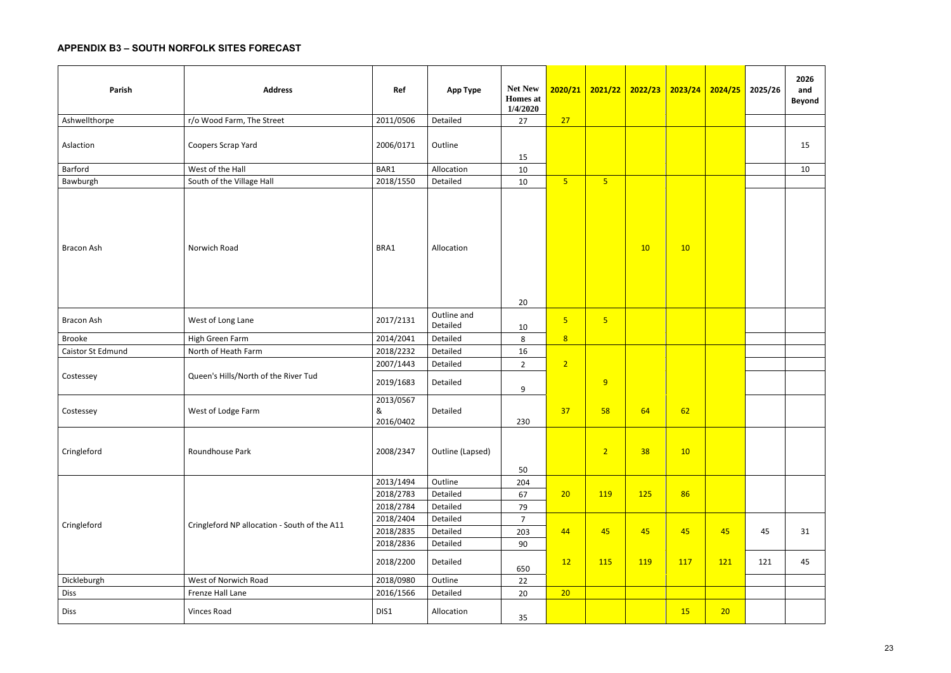# **APPENDIX B3 – SOUTH NORFOLK SITES FORECAST**

| Parish            | <b>Address</b>                               | Ref                                 | <b>App Type</b>                 | <b>Net New</b><br><b>Homes</b> at<br>1/4/2020 | 2020/21        | <mark>2021/22  </mark>  | 2022/23 | 2023/24 | 2024/25 2025/26 |     | 2026<br>and<br><b>Beyond</b> |
|-------------------|----------------------------------------------|-------------------------------------|---------------------------------|-----------------------------------------------|----------------|-------------------------|---------|---------|-----------------|-----|------------------------------|
| Ashwellthorpe     | r/o Wood Farm, The Street                    | 2011/0506                           | Detailed                        | 27                                            | 27             |                         |         |         |                 |     |                              |
| Aslaction         | Coopers Scrap Yard                           | 2006/0171                           | Outline                         |                                               |                |                         |         |         |                 |     | 15                           |
| Barford           | West of the Hall                             | BAR1                                | Allocation                      | 15<br>10                                      |                |                         |         |         |                 |     | 10                           |
| Bawburgh          | South of the Village Hall                    | 2018/1550                           | Detailed                        | 10                                            | 5 <sub>o</sub> | $\overline{\mathbf{5}}$ |         |         |                 |     |                              |
| Bracon Ash        | Norwich Road                                 | BRA1                                | Allocation                      | 20                                            |                |                         | 10      | 10      |                 |     |                              |
| <b>Bracon Ash</b> | West of Long Lane                            | 2017/2131                           | Outline and<br>Detailed         | 10                                            | $5\phantom{1}$ | $\overline{\mathbf{5}}$ |         |         |                 |     |                              |
| <b>Brooke</b>     | High Green Farm                              | 2014/2041                           | Detailed                        | 8                                             | 8              |                         |         |         |                 |     |                              |
| Caistor St Edmund | North of Heath Farm                          | 2018/2232                           | Detailed                        | 16                                            |                |                         |         |         |                 |     |                              |
|                   |                                              | 2007/1443                           | Detailed                        | $2^{\circ}$                                   | $\overline{2}$ |                         |         |         |                 |     |                              |
| Costessey         | Queen's Hills/North of the River Tud         | 2019/1683                           | Detailed                        | 9                                             |                | 9                       |         |         |                 |     |                              |
| Costessey         | West of Lodge Farm                           | 2013/0567<br>&<br>2016/0402         | Detailed                        | 230                                           | 37             | 58                      | 64      | 62      |                 |     |                              |
| Cringleford       | Roundhouse Park                              | 2008/2347                           | Outline (Lapsed)                |                                               |                | 2 <sup>1</sup>          | 38      | 10      |                 |     |                              |
|                   |                                              | 2013/1494<br>2018/2783<br>2018/2784 | Outline<br>Detailed<br>Detailed | 50<br>204<br>67<br>79                         | 20             | 119                     | 125     | 86      |                 |     |                              |
| Cringleford       | Cringleford NP allocation - South of the A11 | 2018/2404                           | Detailed                        | $\overline{7}$                                |                |                         |         |         |                 |     |                              |
|                   |                                              | 2018/2835                           | Detailed                        | 203                                           | 44             | 45                      | 45      | 45      | 45              | 45  | 31                           |
|                   |                                              | 2018/2836                           | Detailed                        | 90                                            |                |                         |         |         |                 |     |                              |
|                   |                                              | 2018/2200                           | Detailed                        | 650                                           | 12             | 115                     | 119     | 117     | 121             | 121 | 45                           |
| Dickleburgh       | West of Norwich Road                         | 2018/0980                           | Outline                         | 22                                            |                |                         |         |         |                 |     |                              |
| <b>Diss</b>       | Frenze Hall Lane                             | 2016/1566                           | Detailed                        | 20                                            | 20             |                         |         |         |                 |     |                              |
| Diss              | Vinces Road                                  | DIS1                                | Allocation                      | 35                                            |                |                         |         | 15      | 20              |     |                              |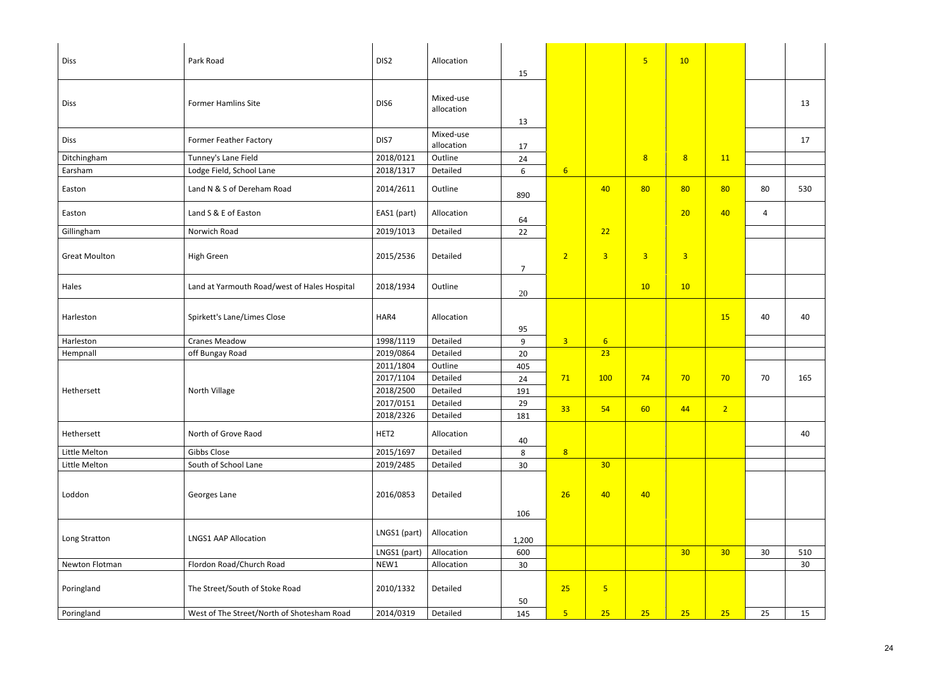| <b>Diss</b>          | Park Road                                    | DIS <sub>2</sub> | Allocation              | 15             |                  |                 | $\overline{5}$ | 10              |                 |                 |                 |
|----------------------|----------------------------------------------|------------------|-------------------------|----------------|------------------|-----------------|----------------|-----------------|-----------------|-----------------|-----------------|
| <b>Diss</b>          | <b>Former Hamlins Site</b>                   | DIS6             | Mixed-use<br>allocation | 13             |                  |                 |                |                 |                 |                 | 13              |
| <b>Diss</b>          | <b>Former Feather Factory</b>                | DIS7             | Mixed-use<br>allocation | 17             |                  |                 |                |                 |                 |                 | 17              |
| Ditchingham          | Tunney's Lane Field                          | 2018/0121        | Outline                 | 24             |                  |                 | 8 <sup>2</sup> | 8               | 11              |                 |                 |
| Earsham              | Lodge Field, School Lane                     | 2018/1317        | Detailed                | 6              | $6 \overline{6}$ |                 |                |                 |                 |                 |                 |
| Easton               | Land N & S of Dereham Road                   | 2014/2611        | Outline                 | 890            |                  | 40              | 80             | 80              | 80              | 80              | 530             |
| Easton               | Land S & E of Easton                         | EAS1 (part)      | Allocation              | 64             |                  |                 |                | 20              | 40              | 4               |                 |
| Gillingham           | Norwich Road                                 | 2019/1013        | Detailed                | 22             |                  | 22              |                |                 |                 |                 |                 |
| <b>Great Moulton</b> | High Green                                   | 2015/2536        | Detailed                | $\overline{7}$ | $\overline{2}$   | 3 <sup>1</sup>  | $\overline{3}$ | $\overline{3}$  |                 |                 |                 |
| Hales                | Land at Yarmouth Road/west of Hales Hospital | 2018/1934        | Outline                 | 20             |                  |                 | 10             | 10              |                 |                 |                 |
| Harleston            | Spirkett's Lane/Limes Close                  | HAR4             | Allocation              | 95             |                  |                 |                |                 | 15              | 40              | 40              |
| Harleston            | <b>Cranes Meadow</b>                         | 1998/1119        | Detailed                | 9              | $\overline{3}$   | 6 <sup>1</sup>  |                |                 |                 |                 |                 |
| Hempnall             | off Bungay Road                              | 2019/0864        | Detailed                | 20             |                  | 23              |                |                 |                 |                 |                 |
|                      |                                              | 2011/1804        | Outline                 | 405            |                  |                 |                |                 |                 |                 |                 |
|                      |                                              | 2017/1104        | Detailed                | 24             | 71               | 100             | 74             | 70              | 70              | 70              | 165             |
| Hethersett           | North Village                                | 2018/2500        | Detailed                | 191            |                  |                 |                |                 |                 |                 |                 |
|                      |                                              | 2017/0151        | Detailed                | 29             | 33               | 54              | 60             | 44              | 2 <sup>1</sup>  |                 |                 |
|                      |                                              | 2018/2326        | Detailed                | 181            |                  |                 |                |                 |                 |                 |                 |
| Hethersett           | North of Grove Raod                          | HET2             | Allocation              | 40             |                  |                 |                |                 |                 |                 | 40              |
| Little Melton        | Gibbs Close                                  | 2015/1697        | Detailed                | 8              | 8                |                 |                |                 |                 |                 |                 |
| Little Melton        | South of School Lane                         | 2019/2485        | Detailed                | 30             |                  | 30 <sub>o</sub> |                |                 |                 |                 |                 |
|                      |                                              |                  |                         |                |                  |                 |                |                 |                 |                 |                 |
| Loddon               | Georges Lane                                 | 2016/0853        | Detailed                |                | 26               | 40              | 40             |                 |                 |                 |                 |
|                      |                                              |                  |                         | 106            |                  |                 |                |                 |                 |                 |                 |
| Long Stratton        | <b>LNGS1 AAP Allocation</b>                  | LNGS1 (part)     | Allocation              | 1,200          |                  |                 |                |                 |                 |                 |                 |
|                      |                                              | LNGS1 (part)     | Allocation              | 600            |                  |                 |                | 30 <sub>o</sub> | 30 <sub>o</sub> | 30 <sup>°</sup> | 510             |
| Newton Flotman       | Flordon Road/Church Road                     | NEW1             | Allocation              | 30             |                  |                 |                |                 |                 |                 | 30 <sub>o</sub> |
| Poringland           | The Street/South of Stoke Road               | 2010/1332        | Detailed                | 50             | 25               | 5 <sub>1</sub>  |                |                 |                 |                 |                 |
| Poringland           | West of The Street/North of Shotesham Road   | 2014/0319        | Detailed                | 145            | 5 <sub>1</sub>   | 25              | 25             | 25              | 25              | 25              | 15              |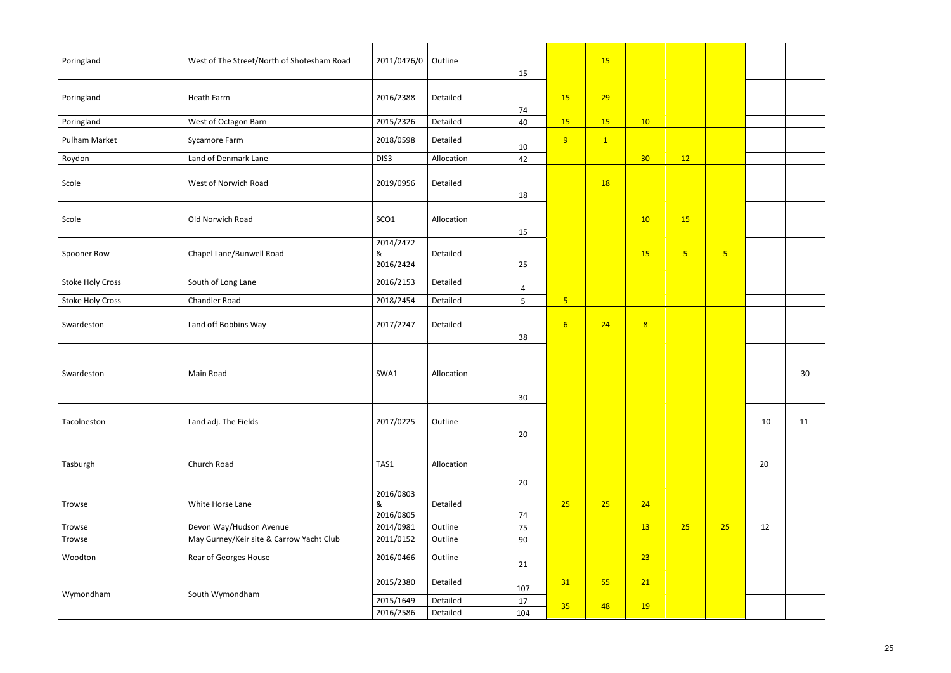| Poringland              | West of The Street/North of Shotesham Road | 2011/0476/0                 | Outline    | 15             |                 | 15           |                 |                |                |    |    |
|-------------------------|--------------------------------------------|-----------------------------|------------|----------------|-----------------|--------------|-----------------|----------------|----------------|----|----|
| Poringland              | Heath Farm                                 | 2016/2388                   | Detailed   | 74             | 15              | 29           |                 |                |                |    |    |
| Poringland              | West of Octagon Barn                       | 2015/2326                   | Detailed   | 40             | 15              | 15           | 10              |                |                |    |    |
| Pulham Market           | Sycamore Farm                              | 2018/0598                   | Detailed   | 10             | 9               | $\mathbf{1}$ |                 |                |                |    |    |
| Roydon                  | Land of Denmark Lane                       | DIS3                        | Allocation | 42             |                 |              | 30 <sub>o</sub> | 12             |                |    |    |
| Scole                   | West of Norwich Road                       | 2019/0956                   | Detailed   | 18             |                 | <b>18</b>    |                 |                |                |    |    |
| Scole                   | Old Norwich Road                           | SCO1                        | Allocation | 15             |                 |              | 10              | <b>15</b>      |                |    |    |
| Spooner Row             | Chapel Lane/Bunwell Road                   | 2014/2472<br>&<br>2016/2424 | Detailed   | 25             |                 |              | 15              | 5 <sub>o</sub> | 5 <sup>1</sup> |    |    |
| <b>Stoke Holy Cross</b> | South of Long Lane                         | 2016/2153                   | Detailed   | $\overline{4}$ |                 |              |                 |                |                |    |    |
| Stoke Holy Cross        | Chandler Road                              | 2018/2454                   | Detailed   | 5              | 5 <sub>o</sub>  |              |                 |                |                |    |    |
| Swardeston              | Land off Bobbins Way                       | 2017/2247                   | Detailed   | 38             | $6\overline{6}$ | 24           | 8               |                |                |    |    |
| Swardeston              | Main Road                                  | SWA1                        | Allocation | 30             |                 |              |                 |                |                |    | 30 |
| Tacolneston             | Land adj. The Fields                       | 2017/0225                   | Outline    | 20             |                 |              |                 |                |                | 10 | 11 |
| Tasburgh                | Church Road                                | TAS1                        | Allocation | $20\degree$    |                 |              |                 |                |                | 20 |    |
| Trowse                  | White Horse Lane                           | 2016/0803<br>&<br>2016/0805 | Detailed   | 74             | 25              | 25           | 24              |                |                |    |    |
| Trowse                  | Devon Way/Hudson Avenue                    | 2014/0981                   | Outline    | 75             |                 |              | 13              | 25             | 25             | 12 |    |
| Trowse                  | May Gurney/Keir site & Carrow Yacht Club   | 2011/0152                   | Outline    | 90             |                 |              |                 |                |                |    |    |
| Woodton                 | Rear of Georges House                      | 2016/0466                   | Outline    | 21             |                 |              | 23              |                |                |    |    |
|                         |                                            | 2015/2380                   | Detailed   | 107            | 31              | 55           | 21              |                |                |    |    |
| Wymondham               | South Wymondham                            | 2015/1649                   | Detailed   | 17             | 35              | 48           |                 |                |                |    |    |
|                         |                                            | 2016/2586                   | Detailed   | 104            |                 |              | <b>19</b>       |                |                |    |    |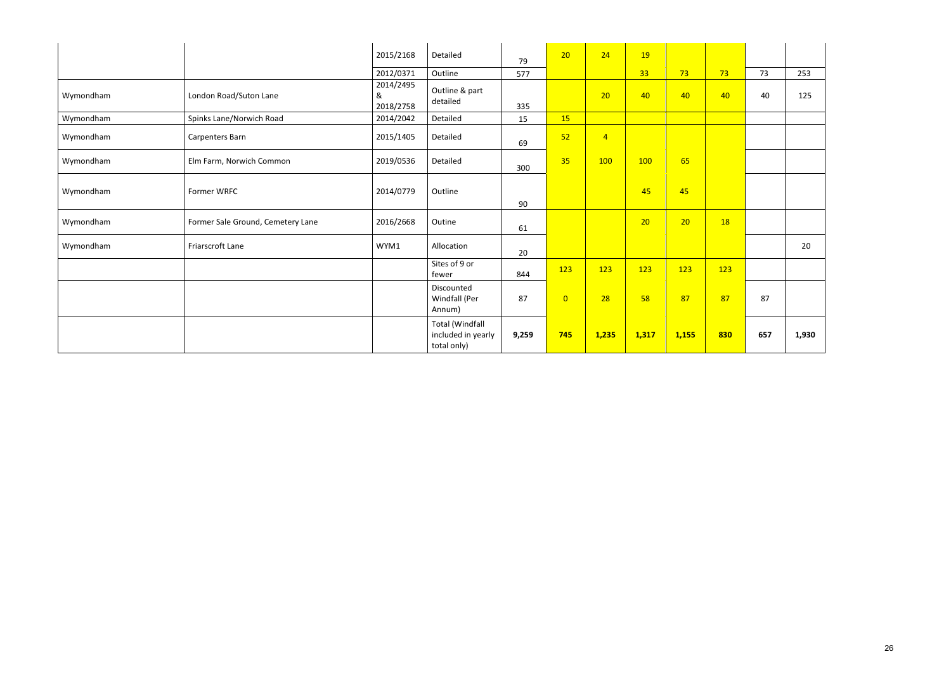|           |                                   | 2015/2168                   | Detailed                                                    |       | 20             | 24             | <b>19</b>       |       |           |     |       |
|-----------|-----------------------------------|-----------------------------|-------------------------------------------------------------|-------|----------------|----------------|-----------------|-------|-----------|-----|-------|
|           |                                   |                             |                                                             | 79    |                |                |                 |       |           |     |       |
|           |                                   | 2012/0371                   | Outline                                                     | 577   |                |                | 33 <sup>°</sup> | 73    | 73        | 73  | 253   |
| Wymondham | London Road/Suton Lane            | 2014/2495<br>&<br>2018/2758 | Outline & part<br>detailed                                  | 335   |                | 20             | 40              | 40    | 40        | 40  | 125   |
| Wymondham | Spinks Lane/Norwich Road          | 2014/2042                   | Detailed                                                    | 15    | 15             |                |                 |       |           |     |       |
| Wymondham | Carpenters Barn                   | 2015/1405                   | Detailed                                                    | 69    | 52             | $\overline{4}$ |                 |       |           |     |       |
| Wymondham | Elm Farm, Norwich Common          | 2019/0536                   | Detailed                                                    | 300   | 35             | 100            | 100             | 65    |           |     |       |
| Wymondham | Former WRFC                       | 2014/0779                   | Outline                                                     | 90    |                |                | 45              | 45    |           |     |       |
| Wymondham | Former Sale Ground, Cemetery Lane | 2016/2668                   | Outine                                                      | 61    |                |                | 20              | 20    | <b>18</b> |     |       |
| Wymondham | Friarscroft Lane                  | WYM1                        | Allocation                                                  | 20    |                |                |                 |       |           |     | 20    |
|           |                                   |                             | Sites of 9 or<br>fewer                                      | 844   | 123            | 123            | 123             | 123   | 123       |     |       |
|           |                                   |                             | Discounted<br>Windfall (Per<br>Annum)                       | 87    | $\overline{0}$ | 28             | 58              | 87    | 87        | 87  |       |
|           |                                   |                             | <b>Total (Windfall</b><br>included in yearly<br>total only) | 9,259 | 745            | 1,235          | 1,317           | 1,155 | 830       | 657 | 1,930 |